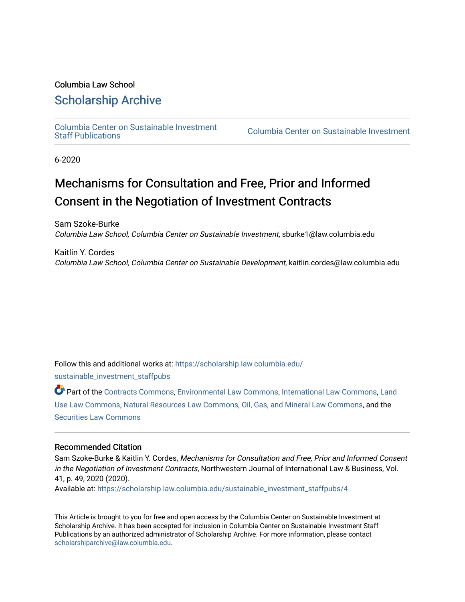# Columbia Law School

# [Scholarship Archive](https://scholarship.law.columbia.edu/)

[Columbia Center on Sustainable Investment](https://scholarship.law.columbia.edu/sustainable_investment_staffpubs) 

Columbia Center on Sustainable Investment

6-2020

# Mechanisms for Consultation and Free, Prior and Informed Consent in the Negotiation of Investment Contracts

Sam Szoke-Burke Columbia Law School, Columbia Center on Sustainable Investment, sburke1@law.columbia.edu

Kaitlin Y. Cordes Columbia Law School, Columbia Center on Sustainable Development, kaitlin.cordes@law.columbia.edu

Follow this and additional works at: [https://scholarship.law.columbia.edu/](https://scholarship.law.columbia.edu/sustainable_investment_staffpubs?utm_source=scholarship.law.columbia.edu%2Fsustainable_investment_staffpubs%2F4&utm_medium=PDF&utm_campaign=PDFCoverPages)

[sustainable\\_investment\\_staffpubs](https://scholarship.law.columbia.edu/sustainable_investment_staffpubs?utm_source=scholarship.law.columbia.edu%2Fsustainable_investment_staffpubs%2F4&utm_medium=PDF&utm_campaign=PDFCoverPages)

Part of the [Contracts Commons](http://network.bepress.com/hgg/discipline/591?utm_source=scholarship.law.columbia.edu%2Fsustainable_investment_staffpubs%2F4&utm_medium=PDF&utm_campaign=PDFCoverPages), [Environmental Law Commons,](http://network.bepress.com/hgg/discipline/599?utm_source=scholarship.law.columbia.edu%2Fsustainable_investment_staffpubs%2F4&utm_medium=PDF&utm_campaign=PDFCoverPages) [International Law Commons](http://network.bepress.com/hgg/discipline/609?utm_source=scholarship.law.columbia.edu%2Fsustainable_investment_staffpubs%2F4&utm_medium=PDF&utm_campaign=PDFCoverPages), [Land](http://network.bepress.com/hgg/discipline/852?utm_source=scholarship.law.columbia.edu%2Fsustainable_investment_staffpubs%2F4&utm_medium=PDF&utm_campaign=PDFCoverPages)  [Use Law Commons](http://network.bepress.com/hgg/discipline/852?utm_source=scholarship.law.columbia.edu%2Fsustainable_investment_staffpubs%2F4&utm_medium=PDF&utm_campaign=PDFCoverPages), [Natural Resources Law Commons,](http://network.bepress.com/hgg/discipline/863?utm_source=scholarship.law.columbia.edu%2Fsustainable_investment_staffpubs%2F4&utm_medium=PDF&utm_campaign=PDFCoverPages) [Oil, Gas, and Mineral Law Commons,](http://network.bepress.com/hgg/discipline/864?utm_source=scholarship.law.columbia.edu%2Fsustainable_investment_staffpubs%2F4&utm_medium=PDF&utm_campaign=PDFCoverPages) and the [Securities Law Commons](http://network.bepress.com/hgg/discipline/619?utm_source=scholarship.law.columbia.edu%2Fsustainable_investment_staffpubs%2F4&utm_medium=PDF&utm_campaign=PDFCoverPages)

#### Recommended Citation

Sam Szoke-Burke & Kaitlin Y. Cordes, Mechanisms for Consultation and Free, Prior and Informed Consent in the Negotiation of Investment Contracts, Northwestern Journal of International Law & Business, Vol. 41, p. 49, 2020 (2020).

Available at: [https://scholarship.law.columbia.edu/sustainable\\_investment\\_staffpubs/4](https://scholarship.law.columbia.edu/sustainable_investment_staffpubs/4?utm_source=scholarship.law.columbia.edu%2Fsustainable_investment_staffpubs%2F4&utm_medium=PDF&utm_campaign=PDFCoverPages)

This Article is brought to you for free and open access by the Columbia Center on Sustainable Investment at Scholarship Archive. It has been accepted for inclusion in Columbia Center on Sustainable Investment Staff Publications by an authorized administrator of Scholarship Archive. For more information, please contact [scholarshiparchive@law.columbia.edu](mailto:scholarshiparchive@law.columbia.edu).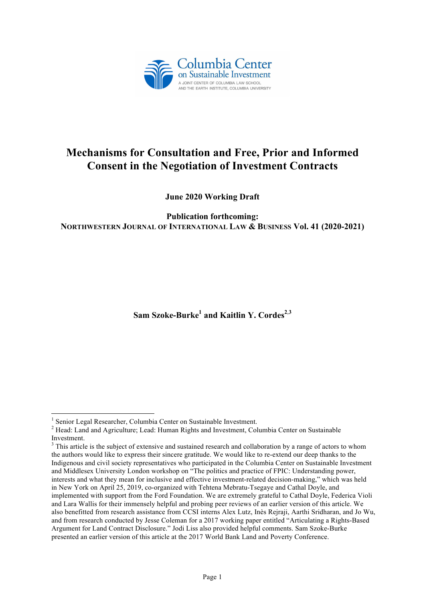

# **Mechanisms for Consultation and Free, Prior and Informed Consent in the Negotiation of Investment Contracts**

**June 2020 Working Draft**

**Publication forthcoming: NORTHWESTERN JOURNAL OF INTERNATIONAL LAW & BUSINESS Vol. 41 (2020-2021)**

Sam Szoke-Burke<sup>1</sup> and Kaitlin Y. Cordes<sup>2,3</sup>

<sup>&</sup>lt;sup>1</sup> Senior Legal Researcher, Columbia Center on Sustainable Investment.

<sup>&</sup>lt;sup>2</sup> Head: Land and Agriculture; Lead: Human Rights and Investment, Columbia Center on Sustainable Investment.

<sup>&</sup>lt;sup>3</sup> This article is the subject of extensive and sustained research and collaboration by a range of actors to whom the authors would like to express their sincere gratitude. We would like to re-extend our deep thanks to the Indigenous and civil society representatives who participated in the Columbia Center on Sustainable Investment and Middlesex University London workshop on "The politics and practice of FPIC: Understanding power, interests and what they mean for inclusive and effective investment-related decision-making," which was held in New York on April 25, 2019, co-organized with Tehtena Mebratu-Tsegaye and Cathal Doyle, and implemented with support from the Ford Foundation. We are extremely grateful to Cathal Doyle, Federica Violi and Lara Wallis for their immensely helpful and probing peer reviews of an earlier version of this article. We also benefitted from research assistance from CCSI interns Alex Lutz, Inès Rejraji, Aarthi Sridharan, and Jo Wu, and from research conducted by Jesse Coleman for a 2017 working paper entitled "Articulating a Rights-Based Argument for Land Contract Disclosure." Jodi Liss also provided helpful comments. Sam Szoke-Burke presented an earlier version of this article at the 2017 World Bank Land and Poverty Conference.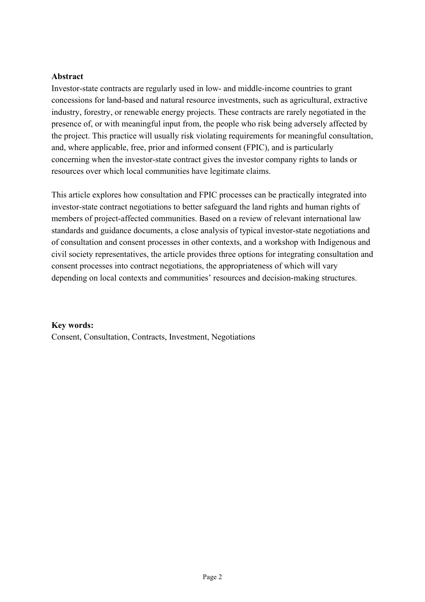### **Abstract**

Investor-state contracts are regularly used in low- and middle-income countries to grant concessions for land-based and natural resource investments, such as agricultural, extractive industry, forestry, or renewable energy projects. These contracts are rarely negotiated in the presence of, or with meaningful input from, the people who risk being adversely affected by the project. This practice will usually risk violating requirements for meaningful consultation, and, where applicable, free, prior and informed consent (FPIC), and is particularly concerning when the investor-state contract gives the investor company rights to lands or resources over which local communities have legitimate claims.

This article explores how consultation and FPIC processes can be practically integrated into investor-state contract negotiations to better safeguard the land rights and human rights of members of project-affected communities. Based on a review of relevant international law standards and guidance documents, a close analysis of typical investor-state negotiations and of consultation and consent processes in other contexts, and a workshop with Indigenous and civil society representatives, the article provides three options for integrating consultation and consent processes into contract negotiations, the appropriateness of which will vary depending on local contexts and communities' resources and decision-making structures.

#### **Key words:**

Consent, Consultation, Contracts, Investment, Negotiations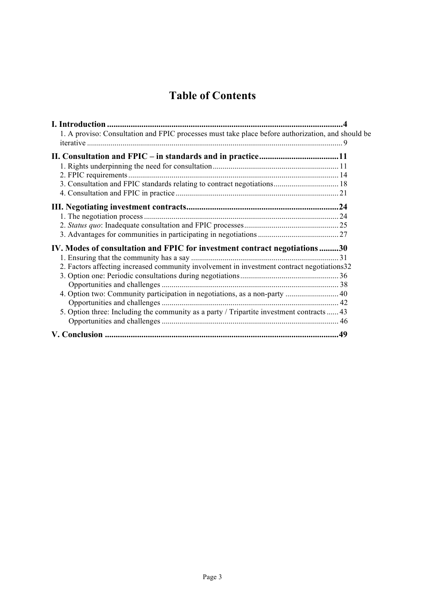# **Table of Contents**

| 1. A proviso: Consultation and FPIC processes must take place before authorization, and should be |     |
|---------------------------------------------------------------------------------------------------|-----|
|                                                                                                   |     |
|                                                                                                   |     |
|                                                                                                   |     |
| 3. Consultation and FPIC standards relating to contract negotiations 18                           |     |
|                                                                                                   |     |
|                                                                                                   |     |
|                                                                                                   |     |
|                                                                                                   |     |
|                                                                                                   |     |
| IV. Modes of consultation and FPIC for investment contract negotiations30                         |     |
|                                                                                                   |     |
| 2. Factors affecting increased community involvement in investment contract negotiations32        |     |
|                                                                                                   |     |
|                                                                                                   |     |
| 4. Option two: Community participation in negotiations, as a non-party  40                        |     |
|                                                                                                   |     |
| 5. Option three: Including the community as a party / Tripartite investment contracts  43         |     |
|                                                                                                   |     |
|                                                                                                   | .49 |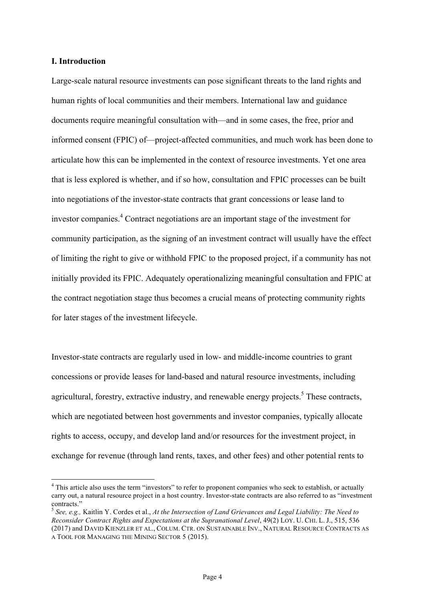#### **I. Introduction**

Large-scale natural resource investments can pose significant threats to the land rights and human rights of local communities and their members. International law and guidance documents require meaningful consultation with—and in some cases, the free, prior and informed consent (FPIC) of—project-affected communities, and much work has been done to articulate how this can be implemented in the context of resource investments. Yet one area that is less explored is whether, and if so how, consultation and FPIC processes can be built into negotiations of the investor-state contracts that grant concessions or lease land to investor companies. <sup>4</sup> Contract negotiations are an important stage of the investment for community participation, as the signing of an investment contract will usually have the effect of limiting the right to give or withhold FPIC to the proposed project, if a community has not initially provided its FPIC. Adequately operationalizing meaningful consultation and FPIC at the contract negotiation stage thus becomes a crucial means of protecting community rights for later stages of the investment lifecycle.

Investor-state contracts are regularly used in low- and middle-income countries to grant concessions or provide leases for land-based and natural resource investments, including agricultural, forestry, extractive industry, and renewable energy projects.<sup>5</sup> These contracts, which are negotiated between host governments and investor companies, typically allocate rights to access, occupy, and develop land and/or resources for the investment project, in exchange for revenue (through land rents, taxes, and other fees) and other potential rents to

<sup>&</sup>lt;sup>4</sup> This article also uses the term "investors" to refer to proponent companies who seek to establish, or actually carry out, a natural resource project in a host country. Investor-state contracts are also referred to as "investment contracts." <sup>5</sup> *See, e.g.,* Kaitlin Y. Cordes et al., *At the Intersection of Land Grievances and Legal Liability: The Need to* 

*Reconsider Contract Rights and Expectations at the Supranational Level*, 49(2) LOY. U. CHI. L. J., 515, 536 (2017) and DAVID KIENZLER ET AL., COLUM. CTR. ON SUSTAINABLE INV., NATURAL RESOURCE CONTRACTS AS A TOOL FOR MANAGING THE MINING SECTOR 5 (2015).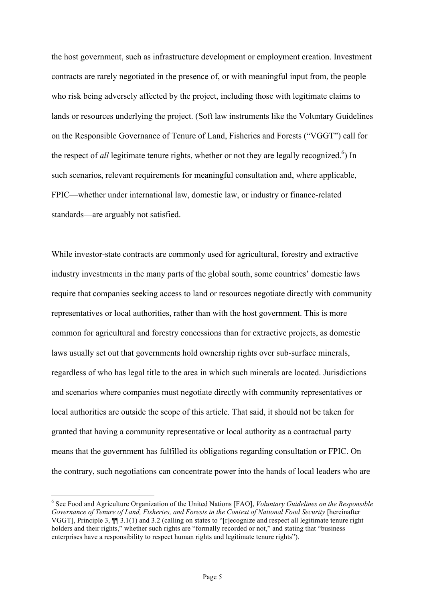the host government, such as infrastructure development or employment creation. Investment contracts are rarely negotiated in the presence of, or with meaningful input from, the people who risk being adversely affected by the project, including those with legitimate claims to lands or resources underlying the project. (Soft law instruments like the Voluntary Guidelines on the Responsible Governance of Tenure of Land, Fisheries and Forests ("VGGT") call for the respect of *all* legitimate tenure rights, whether or not they are legally recognized.<sup>6</sup>) In such scenarios, relevant requirements for meaningful consultation and, where applicable, FPIC—whether under international law, domestic law, or industry or finance-related standards—are arguably not satisfied.

While investor-state contracts are commonly used for agricultural, forestry and extractive industry investments in the many parts of the global south, some countries' domestic laws require that companies seeking access to land or resources negotiate directly with community representatives or local authorities, rather than with the host government. This is more common for agricultural and forestry concessions than for extractive projects, as domestic laws usually set out that governments hold ownership rights over sub-surface minerals, regardless of who has legal title to the area in which such minerals are located. Jurisdictions and scenarios where companies must negotiate directly with community representatives or local authorities are outside the scope of this article. That said, it should not be taken for granted that having a community representative or local authority as a contractual party means that the government has fulfilled its obligations regarding consultation or FPIC. On the contrary, such negotiations can concentrate power into the hands of local leaders who are

 <sup>6</sup> See Food and Agriculture Organization of the United Nations [FAO], *Voluntary Guidelines on the Responsible*  Governance of Tenure of Land, Fisheries, and Forests in the Context of National Food Security [hereinafter] VGGT], Principle 3, ¶¶ 3.1(1) and 3.2 (calling on states to "[r]ecognize and respect all legitimate tenure right holders and their rights," whether such rights are "formally recorded or not," and stating that "business enterprises have a responsibility to respect human rights and legitimate tenure rights").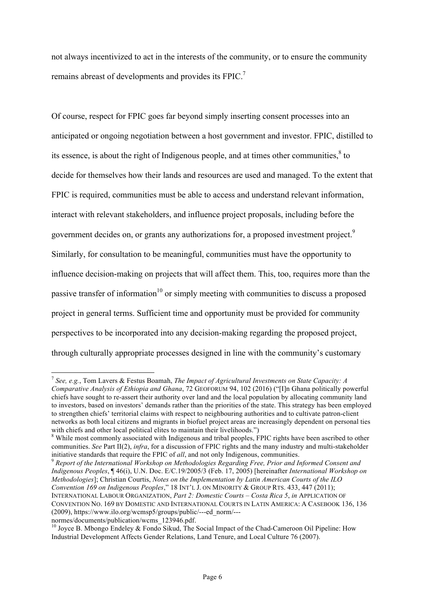not always incentivized to act in the interests of the community, or to ensure the community remains abreast of developments and provides its FPIC.<sup>7</sup>

Of course, respect for FPIC goes far beyond simply inserting consent processes into an anticipated or ongoing negotiation between a host government and investor. FPIC, distilled to its essence, is about the right of Indigenous people, and at times other communities, $8$  to decide for themselves how their lands and resources are used and managed. To the extent that FPIC is required, communities must be able to access and understand relevant information, interact with relevant stakeholders, and influence project proposals, including before the government decides on, or grants any authorizations for, a proposed investment project.<sup>9</sup> Similarly, for consultation to be meaningful, communities must have the opportunity to influence decision-making on projects that will affect them. This, too, requires more than the passive transfer of information<sup>10</sup> or simply meeting with communities to discuss a proposed project in general terms. Sufficient time and opportunity must be provided for community perspectives to be incorporated into any decision-making regarding the proposed project, through culturally appropriate processes designed in line with the community's customary

*Indigenous Peoples*, ¶ 46(i), U.N. Doc. E/C.19/2005/3 (Feb. 17, 2005) [hereinafter *International Workshop on Methodologies*]; Christian Courtis, *Notes on the Implementation by Latin American Courts of the ILO Convention 169 on Indigenous Peoples*," 18 INT'L J. ON MINORITY & GROUP RTS. 433, 447 (2011); INTERNATIONAL LABOUR ORGANIZATION, *Part 2: Domestic Courts – Costa Rica 5*, *in* APPLICATION OF CONVENTION NO. 169 BY DOMESTIC AND INTERNATIONAL COURTS IN LATIN AMERICA: A CASEBOOK 136, 136 (2009), https://www.ilo.org/wcmsp5/groups/public/---ed\_norm/---

 <sup>7</sup> *See, e.g.*, Tom Lavers & Festus Boamah, *The Impact of Agricultural Investments on State Capacity: A Comparative Analysis of Ethiopia and Ghana*, 72 GEOFORUM 94, 102 (2016) ("[I]n Ghana politically powerful chiefs have sought to re-assert their authority over land and the local population by allocating community land to investors, based on investors' demands rather than the priorities of the state. This strategy has been employed to strengthen chiefs' territorial claims with respect to neighbouring authorities and to cultivate patron-client networks as both local citizens and migrants in biofuel project areas are increasingly dependent on personal ties with chiefs and other local political elites to maintain their livelihoods.")

<sup>&</sup>lt;sup>8</sup> While most commonly associated with Indigenous and tribal peoples, FPIC rights have been ascribed to other communities. *See* Part II(2), *infra*, for a discussion of FPIC rights and the many industry and multi-stakeholder initiative standards that require the FPIC of *all*, and not only Indigenous, communities. <sup>9</sup> *Report of the International Workshop on Methodologies Regarding Free, Prior and Informed Consent and* 

<sup>&</sup>lt;sup>10</sup> Joyce B. Mbongo Endeley & Fondo Sikud. The Social Impact of the Chad-Cameroon Oil Pipeline: How Industrial Development Affects Gender Relations, Land Tenure, and Local Culture 76 (2007).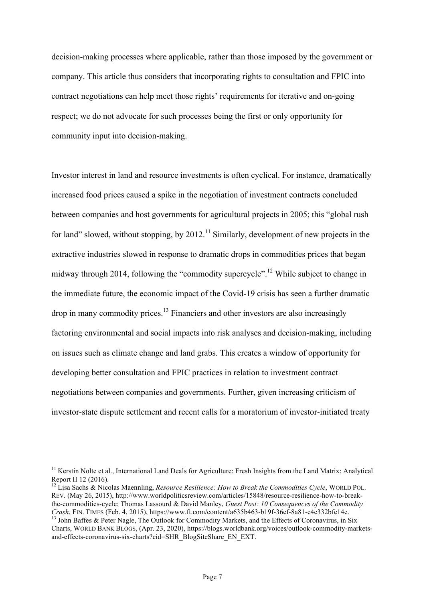decision-making processes where applicable, rather than those imposed by the government or company. This article thus considers that incorporating rights to consultation and FPIC into contract negotiations can help meet those rights' requirements for iterative and on-going respect; we do not advocate for such processes being the first or only opportunity for community input into decision-making.

Investor interest in land and resource investments is often cyclical. For instance, dramatically increased food prices caused a spike in the negotiation of investment contracts concluded between companies and host governments for agricultural projects in 2005; this "global rush for land" slowed, without stopping, by  $2012$ <sup>11</sup> Similarly, development of new projects in the extractive industries slowed in response to dramatic drops in commodities prices that began midway through 2014, following the "commodity supercycle".<sup>12</sup> While subject to change in the immediate future, the economic impact of the Covid-19 crisis has seen a further dramatic drop in many commodity prices.13 Financiers and other investors are also increasingly factoring environmental and social impacts into risk analyses and decision-making, including on issues such as climate change and land grabs. This creates a window of opportunity for developing better consultation and FPIC practices in relation to investment contract negotiations between companies and governments. Further, given increasing criticism of investor-state dispute settlement and recent calls for a moratorium of investor-initiated treaty

<sup>&</sup>lt;sup>11</sup> Kerstin Nolte et al., International Land Deals for Agriculture: Fresh Insights from the Land Matrix: Analytical Report II 12 (2016).

<sup>&</sup>lt;sup>12</sup> Lisa Sachs & Nicolas Maennling, *Resource Resilience: How to Break the Commodities Cycle*, WORLD POL. REV. (May 26, 2015), http://www.worldpoliticsreview.com/articles/15848/resource-resilience-how-to-breakthe-commodities-cycle; Thomas Lassourd & David Manley, *Guest Post: 10 Consequences of the Commodity Crash*, FIN. TIMES (Feb. 4, 2015), https://www.ft.com/content/a635b463-b19f-36ef-8a81-c4c332bfe14e.<br><sup>13</sup> John Baffes & Peter Nagle, The Outlook for Commodity Markets, and the Effects of Coronavirus, in Six

Charts, WORLD BANK BLOGS, (Apr. 23, 2020), https://blogs.worldbank.org/voices/outlook-commodity-marketsand-effects-coronavirus-six-charts?cid=SHR\_BlogSiteShare\_EN\_EXT.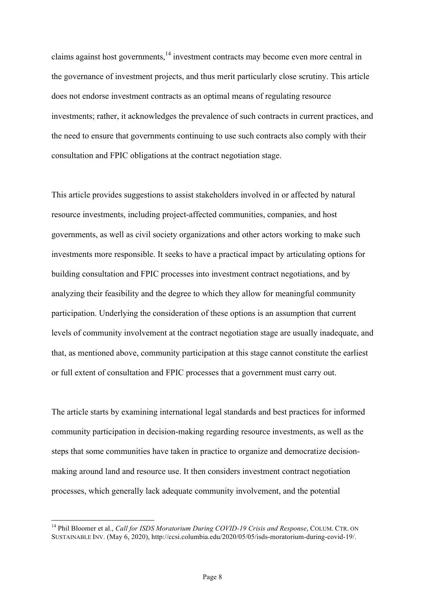claims against host governments,<sup>14</sup> investment contracts may become even more central in the governance of investment projects, and thus merit particularly close scrutiny. This article does not endorse investment contracts as an optimal means of regulating resource investments; rather, it acknowledges the prevalence of such contracts in current practices, and the need to ensure that governments continuing to use such contracts also comply with their consultation and FPIC obligations at the contract negotiation stage.

This article provides suggestions to assist stakeholders involved in or affected by natural resource investments, including project-affected communities, companies, and host governments, as well as civil society organizations and other actors working to make such investments more responsible. It seeks to have a practical impact by articulating options for building consultation and FPIC processes into investment contract negotiations, and by analyzing their feasibility and the degree to which they allow for meaningful community participation. Underlying the consideration of these options is an assumption that current levels of community involvement at the contract negotiation stage are usually inadequate, and that, as mentioned above, community participation at this stage cannot constitute the earliest or full extent of consultation and FPIC processes that a government must carry out.

The article starts by examining international legal standards and best practices for informed community participation in decision-making regarding resource investments, as well as the steps that some communities have taken in practice to organize and democratize decisionmaking around land and resource use. It then considers investment contract negotiation processes, which generally lack adequate community involvement, and the potential

<sup>&</sup>lt;sup>14</sup> Phil Bloomer et al., *Call for ISDS Moratorium During COVID-19 Crisis and Response*, COLUM. CTR. ON SUSTAINABLE INV. (May 6, 2020), http://ccsi.columbia.edu/2020/05/05/isds-moratorium-during-covid-19/.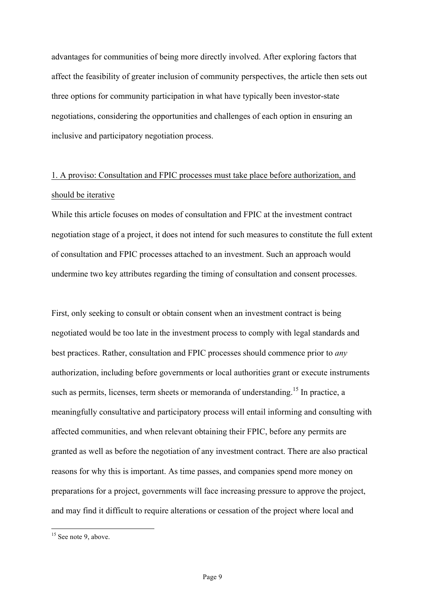advantages for communities of being more directly involved. After exploring factors that affect the feasibility of greater inclusion of community perspectives, the article then sets out three options for community participation in what have typically been investor-state negotiations, considering the opportunities and challenges of each option in ensuring an inclusive and participatory negotiation process.

# 1. A proviso: Consultation and FPIC processes must take place before authorization, and should be iterative

While this article focuses on modes of consultation and FPIC at the investment contract negotiation stage of a project, it does not intend for such measures to constitute the full extent of consultation and FPIC processes attached to an investment. Such an approach would undermine two key attributes regarding the timing of consultation and consent processes.

First, only seeking to consult or obtain consent when an investment contract is being negotiated would be too late in the investment process to comply with legal standards and best practices. Rather, consultation and FPIC processes should commence prior to *any* authorization, including before governments or local authorities grant or execute instruments such as permits, licenses, term sheets or memoranda of understanding.<sup>15</sup> In practice, a meaningfully consultative and participatory process will entail informing and consulting with affected communities, and when relevant obtaining their FPIC, before any permits are granted as well as before the negotiation of any investment contract. There are also practical reasons for why this is important. As time passes, and companies spend more money on preparations for a project, governments will face increasing pressure to approve the project, and may find it difficult to require alterations or cessation of the project where local and

<sup>&</sup>lt;sup>15</sup> See note 9, above.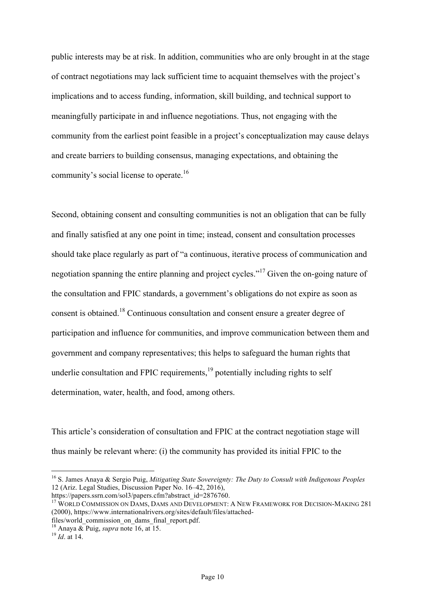public interests may be at risk. In addition, communities who are only brought in at the stage of contract negotiations may lack sufficient time to acquaint themselves with the project's implications and to access funding, information, skill building, and technical support to meaningfully participate in and influence negotiations. Thus, not engaging with the community from the earliest point feasible in a project's conceptualization may cause delays and create barriers to building consensus, managing expectations, and obtaining the community's social license to operate.<sup>16</sup>

Second, obtaining consent and consulting communities is not an obligation that can be fully and finally satisfied at any one point in time; instead, consent and consultation processes should take place regularly as part of "a continuous, iterative process of communication and negotiation spanning the entire planning and project cycles."<sup>17</sup> Given the on-going nature of the consultation and FPIC standards, a government's obligations do not expire as soon as consent is obtained.<sup>18</sup> Continuous consultation and consent ensure a greater degree of participation and influence for communities, and improve communication between them and government and company representatives; this helps to safeguard the human rights that underlie consultation and FPIC requirements, $19$  potentially including rights to self determination, water, health, and food, among others.

This article's consideration of consultation and FPIC at the contract negotiation stage will thus mainly be relevant where: (i) the community has provided its initial FPIC to the

 <sup>16</sup> S. James Anaya & Sergio Puig, *Mitigating State Sovereignty: The Duty to Consult with Indigenous Peoples* 12 (Ariz. Legal Studies, Discussion Paper No. 16–42, 2016),<br>https://papers.ssrn.com/sol3/papers.cfm?abstract\_id=2876760.

<sup>17</sup> WORLD COMMISSION ON DAMS, DAMS AND DEVELOPMENT: A NEW FRAMEWORK FOR DECISION-MAKING 281 (2000), https://www.internationalrivers.org/sites/default/files/attached-

files/world\_commission\_on\_dams\_final\_report.pdf. <sup>18</sup> Anaya & Puig, *supra* note 16, at 15. <sup>19</sup> *Id*. at 14.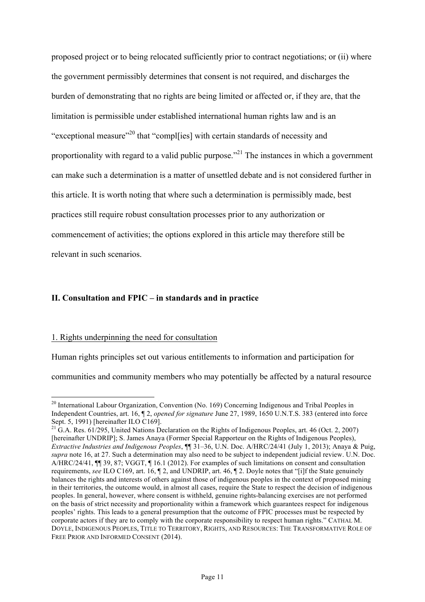proposed project or to being relocated sufficiently prior to contract negotiations; or (ii) where the government permissibly determines that consent is not required, and discharges the burden of demonstrating that no rights are being limited or affected or, if they are, that the limitation is permissible under established international human rights law and is an "exceptional measure"<sup>20</sup> that "completional with certain standards of necessity and proportionality with regard to a valid public purpose.<sup> $21$ </sup> The instances in which a government can make such a determination is a matter of unsettled debate and is not considered further in this article. It is worth noting that where such a determination is permissibly made, best practices still require robust consultation processes prior to any authorization or commencement of activities; the options explored in this article may therefore still be relevant in such scenarios.

#### **II. Consultation and FPIC – in standards and in practice**

#### 1. Rights underpinning the need for consultation

Human rights principles set out various entitlements to information and participation for

communities and community members who may potentially be affected by a natural resource

<sup>&</sup>lt;sup>20</sup> International Labour Organization, Convention (No. 169) Concerning Indigenous and Tribal Peoples in Independent Countries, art. 16, ¶ 2, *opened for signature* June 27, 1989, 1650 U.N.T.S. 383 (entered into force Sept. 5, 1991) [hereinafter ILO C169].

 $^{21}$  G.A. Res. 61/295, United Nations Declaration on the Rights of Indigenous Peoples, art. 46 (Oct. 2, 2007) [hereinafter UNDRIP]; S. James Anaya (Former Special Rapporteur on the Rights of Indigenous Peoples), *Extractive Industries and Indigenous Peoples*, ¶¶ 31–36, U.N. Doc. A/HRC/24/41 (July 1, 2013); Anaya & Puig, *supra* note 16, at 27. Such a determination may also need to be subject to independent judicial review. U.N. Doc. A/HRC/24/41, ¶¶ 39, 87; VGGT, ¶ 16.1 (2012). For examples of such limitations on consent and consultation requirements, *see* ILO C169, art. 16, ¶ 2, and UNDRIP, art. 46, ¶ 2. Doyle notes that "[i]f the State genuinely balances the rights and interests of others against those of indigenous peoples in the context of proposed mining in their territories, the outcome would, in almost all cases, require the State to respect the decision of indigenous peoples. In general, however, where consent is withheld, genuine rights-balancing exercises are not performed on the basis of strict necessity and proportionality within a framework which guarantees respect for indigenous peoples' rights. This leads to a general presumption that the outcome of FPIC processes must be respected by corporate actors if they are to comply with the corporate responsibility to respect human rights." CATHAL M. DOYLE, INDIGENOUS PEOPLES, TITLE TO TERRITORY, RIGHTS, AND RESOURCES: THE TRANSFORMATIVE ROLE OF FREE PRIOR AND INFORMED CONSENT (2014).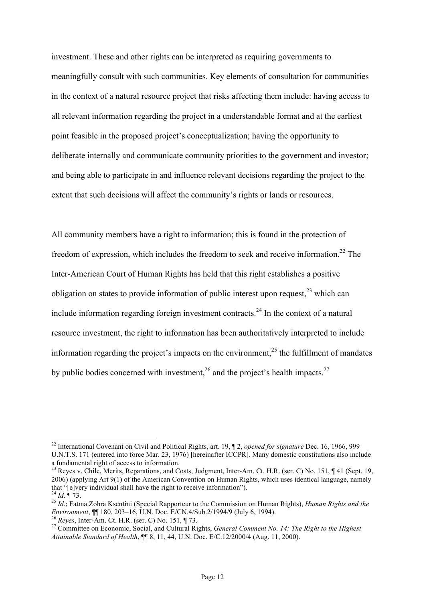investment. These and other rights can be interpreted as requiring governments to meaningfully consult with such communities. Key elements of consultation for communities in the context of a natural resource project that risks affecting them include: having access to all relevant information regarding the project in a understandable format and at the earliest point feasible in the proposed project's conceptualization; having the opportunity to deliberate internally and communicate community priorities to the government and investor; and being able to participate in and influence relevant decisions regarding the project to the extent that such decisions will affect the community's rights or lands or resources.

All community members have a right to information; this is found in the protection of freedom of expression, which includes the freedom to seek and receive information.<sup>22</sup> The Inter-American Court of Human Rights has held that this right establishes a positive obligation on states to provide information of public interest upon request, $^{23}$  which can include information regarding foreign investment contracts.<sup>24</sup> In the context of a natural resource investment, the right to information has been authoritatively interpreted to include information regarding the project's impacts on the environment, $^{25}$  the fulfillment of mandates by public bodies concerned with investment,  $^{26}$  and the project's health impacts.  $^{27}$ 

 <sup>22</sup> International Covenant on Civil and Political Rights, art. 19, ¶ 2, *opened for signature* Dec. 16, 1966, 999 U.N.T.S. 171 (entered into force Mar. 23, 1976) [hereinafter ICCPR]. Many domestic constitutions also include a fundamental right of access to information.<br><sup>23</sup> Reyes v. Chile, Merits, Reparations, and Costs, Judgment, Inter-Am. Ct. H.R. (ser. C) No. 151, ¶ 41 (Sept. 19,

<sup>2006) (</sup>applying Art 9(1) of the American Convention on Human Rights, which uses identical language, namely that "[e]very individual shall have the right to receive information").<br><sup>24</sup> *Id*. ¶ 73.<br><sup>25</sup> *Id*.; Fatma Zohra Ksentini (Special Rapporteur to the Commission on Human Rights), *Human Rights and the* 

Environment,  $\P$  180, 203–16, U.N. Doc. E/CN.4/Sub.2/1994/9 (July 6, 1994).<br><sup>26</sup> Reyes, Inter-Am. Ct. H.R. (ser. C) No. 151,  $\P$  73.<br><sup>27</sup> Committee on Economic, Social, and Cultural Rights, *General Comment No. 14: The Ri* 

*Attainable Standard of Health*, ¶¶ 8, 11, 44, U.N. Doc. E/C.12/2000/4 (Aug. 11, 2000).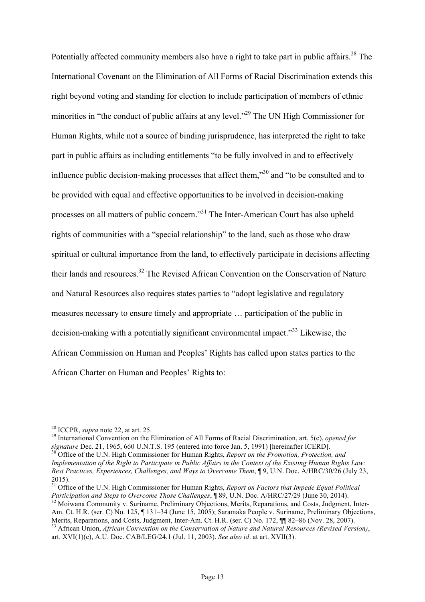Potentially affected community members also have a right to take part in public affairs.<sup>28</sup> The International Covenant on the Elimination of All Forms of Racial Discrimination extends this right beyond voting and standing for election to include participation of members of ethnic minorities in "the conduct of public affairs at any level."29 The UN High Commissioner for Human Rights, while not a source of binding jurisprudence, has interpreted the right to take part in public affairs as including entitlements "to be fully involved in and to effectively influence public decision-making processes that affect them, $\mathbb{R}^{30}$  and "to be consulted and to be provided with equal and effective opportunities to be involved in decision-making processes on all matters of public concern."31 The Inter-American Court has also upheld rights of communities with a "special relationship" to the land, such as those who draw spiritual or cultural importance from the land, to effectively participate in decisions affecting their lands and resources.<sup>32</sup> The Revised African Convention on the Conservation of Nature and Natural Resources also requires states parties to "adopt legislative and regulatory measures necessary to ensure timely and appropriate … participation of the public in decision-making with a potentially significant environmental impact.<sup>33</sup> Likewise, the African Commission on Human and Peoples' Rights has called upon states parties to the African Charter on Human and Peoples' Rights to:

<sup>28</sup> ICCPR, *supra* note 22, at art. 25.<br><sup>29</sup> International Convention on the Elimination of All Forms of Racial Discrimination, art. 5(c), *opened for signature* Dec. 21, 1965, 660 U.N.T.S. 195 (entered into force Jan. 5, 1991) [hereinafter ICERD].<br><sup>30</sup> Office of the U.N. High Commissioner for Human Rights, *Report on the Promotion, Protection, and* 

*Implementation of the Right to Participate in Public Affairs in the Context of the Existing Human Rights Law: Best Practices, Experiences, Challenges, and Ways to Overcome Them*, ¶ 9, U.N. Doc. A/HRC/30/26 (July 23, 2015).

<sup>31</sup> Office of the U.N. High Commissioner for Human Rights, *Report on Factors that Impede Equal Political* Participation and Steps to Overcome Those Challenges, 189, U.N. Doc. A/HRC/27/29 (June 30, 2014).<br><sup>32</sup> Moiwana Community v. Suriname, Preliminary Objections, Merits, Reparations, and Costs, Judgment, Inter-Am. Ct. H.R. (ser. C) No. 125,  $\P$  131–34 (June 15, 2005); Saramaka People v. Suriname, Preliminary Objections, Merits, Reparations, and Costs, Judgment, Inter-Am. Ct. H.R. (ser. C) No. 172,  $\P$  82–86 (Nov. 28, 2007). <sup>33</sup> African Union, *African Convention on the Conservation of Nature and Natural Resources (Revised Version)*, art. XVI(1)(c), A.U. Doc. CAB/LEG/24.1 (Jul. 11, 2003). *See also id*. at art. XVII(3).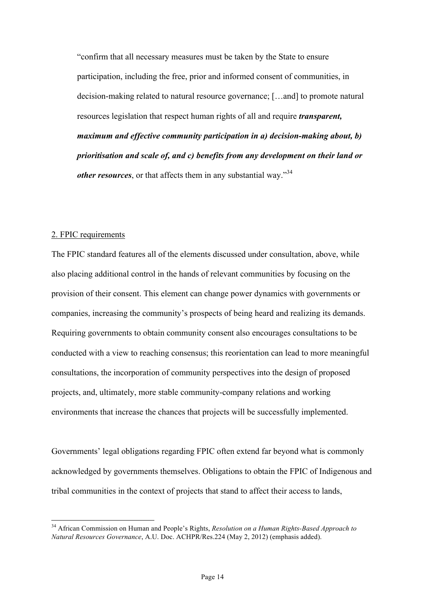"confirm that all necessary measures must be taken by the State to ensure participation, including the free, prior and informed consent of communities, in decision-making related to natural resource governance; […and] to promote natural resources legislation that respect human rights of all and require *transparent, maximum and effective community participation in a) decision-making about, b) prioritisation and scale of, and c) benefits from any development on their land or other resources*, or that affects them in any substantial way."<sup>34</sup>

#### 2. FPIC requirements

The FPIC standard features all of the elements discussed under consultation, above, while also placing additional control in the hands of relevant communities by focusing on the provision of their consent. This element can change power dynamics with governments or companies, increasing the community's prospects of being heard and realizing its demands. Requiring governments to obtain community consent also encourages consultations to be conducted with a view to reaching consensus; this reorientation can lead to more meaningful consultations, the incorporation of community perspectives into the design of proposed projects, and, ultimately, more stable community-company relations and working environments that increase the chances that projects will be successfully implemented.

Governments' legal obligations regarding FPIC often extend far beyond what is commonly acknowledged by governments themselves. Obligations to obtain the FPIC of Indigenous and tribal communities in the context of projects that stand to affect their access to lands,

 <sup>34</sup> African Commission on Human and People's Rights, *Resolution on a Human Rights-Based Approach to Natural Resources Governance*, A.U. Doc. ACHPR/Res.224 (May 2, 2012) (emphasis added).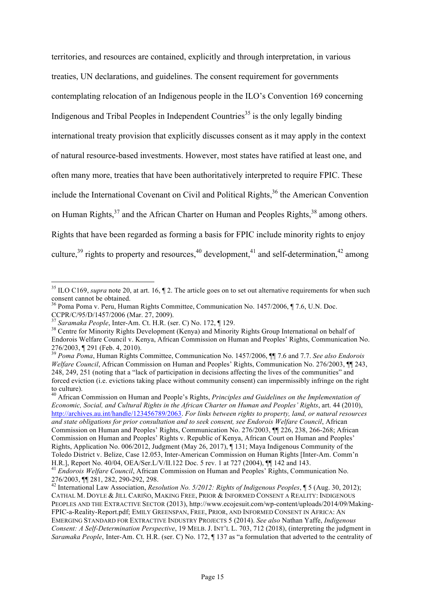territories, and resources are contained, explicitly and through interpretation, in various treaties, UN declarations, and guidelines. The consent requirement for governments contemplating relocation of an Indigenous people in the ILO's Convention 169 concerning Indigenous and Tribal Peoples in Independent Countries<sup>35</sup> is the only legally binding international treaty provision that explicitly discusses consent as it may apply in the context of natural resource-based investments. However, most states have ratified at least one, and often many more, treaties that have been authoritatively interpreted to require FPIC. These include the International Covenant on Civil and Political Rights, $36$  the American Convention on Human Rights,<sup>37</sup> and the African Charter on Human and Peoples Rights,<sup>38</sup> among others. Rights that have been regarded as forming a basis for FPIC include minority rights to enjoy culture,<sup>39</sup> rights to property and resources,<sup>40</sup> development,<sup>41</sup> and self-determination,<sup>42</sup> among

<sup>40</sup> African Commission on Human and People's Rights, *Principles and Guidelines on the Implementation of Economic, Social, and Cultural Rights in the African Charter on Human and Peoples' Rights*, art. 44 (2010), http://archives.au.int/handle/123456789/2063. *For links between rights to property, land, or natural resources and state obligations for prior consultation and to seek consent, see Endorois Welfare Council*, African Commission on Human and Peoples' Rights, Communication No. 276/2003, ¶¶ 226, 238, 266-268; African Commission on Human and Peoples' Rights v. Republic of Kenya, African Court on Human and Peoples' Rights, Application No. 006/2012, Judgment (May 26, 2017), ¶ 131; Maya Indigenous Community of the Toledo District v. Belize, Case 12.053, Inter-American Commission on Human Rights [Inter-Am. Comm'n H.R.], Report No. 40/04, OEA/Ser.L/V/II.122 Doc. 5 rev. 1 at 727 (2004),  $\P$  142 and 143.<br><sup>41</sup> *Endorois Welfare Council*, African Commission on Human and Peoples' Rights, Communication No.

<sup>&</sup>lt;sup>35</sup> ILO C169, *supra* note 20, at art. 16,  $\P$  2. The article goes on to set out alternative requirements for when such consent cannot be obtained.

<sup>36</sup> Poma Poma v. Peru, Human Rights Committee, Communication No. 1457/2006, ¶ 7.6, U.N. Doc. CCPR/C/95/D/1457/2006 (Mar. 27, 2009).<br><sup>37</sup> Saramaka People, Inter-Am. Ct. H.R. (ser. C) No. 172, ¶ 129.

<sup>&</sup>lt;sup>38</sup> Centre for Minority Rights Development (Kenya) and Minority Rights Group International on behalf of Endorois Welfare Council v. Kenya, African Commission on Human and Peoples' Rights, Communication No. 276/2003, ¶ 291 (Feb. 4, 2010). <sup>39</sup> *Poma Poma*, Human Rights Committee, Communication No. 1457/2006, ¶¶ 7.6 and 7.7. *See also Endorois* 

*Welfare Council*, African Commission on Human and Peoples' Rights, Communication No. 276/2003, ¶ 243, 248, 249, 251 (noting that a "lack of participation in decisions affecting the lives of the communities" and forced eviction (i.e. evictions taking place without community consent) can impermissibly infringe on the right

<sup>276/2003, ¶¶ 281, 282, 290-292, 298.</sup> <sup>42</sup> International Law Association, *Resolution No. 5/2012: Rights of Indigenous Peoples*, ¶ 5 (Aug. 30, 2012); CATHAL M. DOYLE & JILL CARIÑO, MAKING FREE, PRIOR & INFORMED CONSENT A REALITY: INDIGENOUS PEOPLES AND THE EXTRACTIVE SECTOR (2013), http://www.ecojesuit.com/wp-content/uploads/2014/09/Making-FPIC-a-Reality-Report.pdf; EMILY GREENSPAN, FREE, PRIOR, AND INFORMED CONSENT IN AFRICA: AN EMERGING STANDARD FOR EXTRACTIVE INDUSTRY PROJECTS 5 (2014). *See also* Nathan Yaffe, *Indigenous Consent: A Self-Determination Perspective*, 19 MELB. J. INT'L L. 703, 712 (2018), (interpreting the judgment in *Saramaka People*, Inter-Am. Ct. H.R. (ser. C) No. 172, ¶ 137 as "a formulation that adverted to the centrality of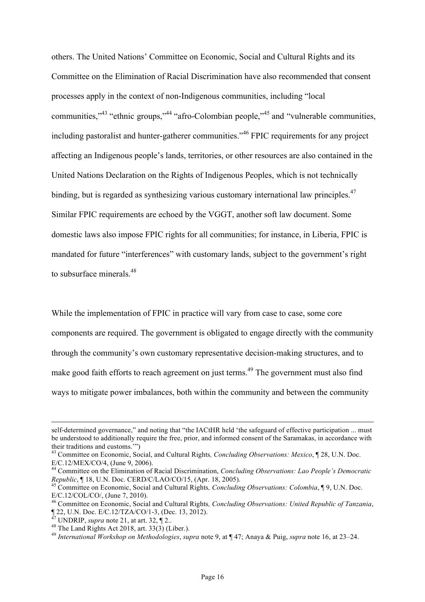others. The United Nations' Committee on Economic, Social and Cultural Rights and its Committee on the Elimination of Racial Discrimination have also recommended that consent processes apply in the context of non-Indigenous communities, including "local communities,"<sup>43</sup> "ethnic groups,"44 "afro-Colombian people,"<sup>45</sup> and "vulnerable communities, including pastoralist and hunter-gatherer communities.<sup>346</sup> FPIC requirements for any project affecting an Indigenous people's lands, territories, or other resources are also contained in the United Nations Declaration on the Rights of Indigenous Peoples, which is not technically binding, but is regarded as synthesizing various customary international law principles.<sup>47</sup> Similar FPIC requirements are echoed by the VGGT, another soft law document. Some domestic laws also impose FPIC rights for all communities; for instance, in Liberia, FPIC is mandated for future "interferences" with customary lands, subject to the government's right to subsurface minerals.<sup>48</sup>

While the implementation of FPIC in practice will vary from case to case, some core components are required. The government is obligated to engage directly with the community through the community's own customary representative decision-making structures, and to make good faith efforts to reach agreement on just terms.<sup>49</sup> The government must also find ways to mitigate power imbalances, both within the community and between the community

self-determined governance," and noting that "the IACtHR held 'the safeguard of effective participation ... must be understood to additionally require the free, prior, and informed consent of the Saramakas, in accordance with their traditions and customs.'")

<sup>&</sup>lt;sup>43</sup> Committee on Economic, Social, and Cultural Rights, *Concluding Observations: Mexico*, ¶ 28, U.N. Doc. E/C.12/MEX/CO/4, (June 9, 2006).

<sup>&</sup>lt;sup>44</sup> Committee on the Elimination of Racial Discrimination, *Concluding Observations: Lao People's Democratic Republic*, ¶ 18, U.N. Doc. CERD/C/LAO/CO/15, (Apr. 18, 2005).<br><sup>45</sup> Committee on Economic, Social and Cultural Rights, *Concluding Observations: Colombia*, ¶ 9, U.N. Doc.

E/C.12/COL/CO/, (June 7, 2010).

<sup>46</sup> Committee on Economic, Social and Cultural Rights*, Concluding Observations: United Republic of Tanzania*, 122, U.N. Doc. E/C.12/TZA/CO/1-3, (Dec. 13, 2012).<br>
<sup>47</sup> UNDRIP, *supra* note 21, at art. 32, 12..<br>
<sup>48</sup> The Land Rights Act 2018, art. 33(3) (Liber.).<br>
<sup>49</sup> International Workshop on Methodologies, supra note 9, at 147;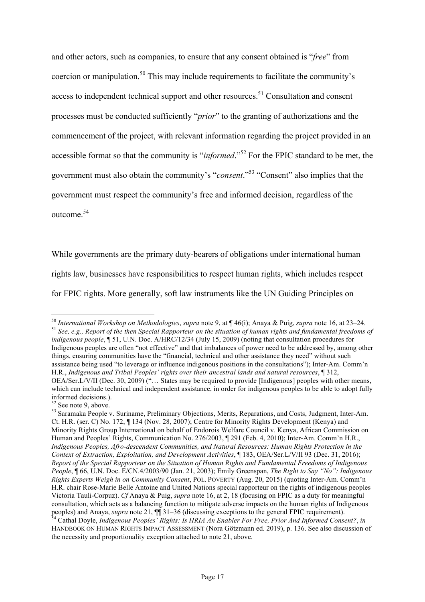and other actors, such as companies, to ensure that any consent obtained is "*free*" from coercion or manipulation.<sup>50</sup> This may include requirements to facilitate the community's access to independent technical support and other resources.<sup>51</sup> Consultation and consent processes must be conducted sufficiently "*prior*" to the granting of authorizations and the commencement of the project, with relevant information regarding the project provided in an accessible format so that the community is "*informed*."<sup>52</sup> For the FPIC standard to be met, the government must also obtain the community's "*consent*."53 "Consent" also implies that the government must respect the community's free and informed decision, regardless of the outcome.<sup>54</sup>

While governments are the primary duty-bearers of obligations under international human rights law, businesses have responsibilities to respect human rights, which includes respect for FPIC rights. More generally, soft law instruments like the UN Guiding Principles on

<sup>&</sup>lt;sup>50</sup> International Workshop on Methodologies, supra note 9, at  $\P$  46(i); Anaya & Puig, supra note 16, at 23–24.<br><sup>51</sup> See, e.g., Report of the then Special Rapporteur on the situation of human rights and fundamental freed *indigenous people*, ¶ 51, U.N. Doc. A/HRC/12/34 (July 15, 2009) (noting that consultation procedures for Indigenous peoples are often "not effective" and that imbalances of power need to be addressed by, among other things, ensuring communities have the "financial, technical and other assistance they need" without such assistance being used "to leverage or influence indigenous positions in the consultations"); Inter-Am. Comm'n H.R., *Indigenous and Tribal Peoples' rights over their ancestral lands and natural resources*, ¶ 312, OEA/Ser.L/V/II (Dec. 30, 2009) ("… States may be required to provide [Indigenous] peoples with other means, which can include technical and independent assistance, in order for indigenous peoples to be able to adopt fully informed decisions.).<br><sup>52</sup> See note 9, above.<br><sup>53</sup> Saramaka People v. Suriname, Preliminary Objections, Merits, Reparations, and Costs, Judgment, Inter-Am.

Ct. H.R. (ser. C) No. 172, ¶ 134 (Nov. 28, 2007); Centre for Minority Rights Development (Kenya) and Minority Rights Group International on behalf of Endorois Welfare Council v. Kenya, African Commission on Human and Peoples' Rights, Communication No. 276/2003, ¶ 291 (Feb. 4, 2010); Inter-Am. Comm'n H.R., *Indigenous Peoples, Afro-descendent Communities, and Natural Resources: Human Rights Protection in the Context of Extraction, Exploitation, and Development Activities*, ¶ 183, OEA/Ser.L/V/II 93 (Dec. 31, 2016); *Report of the Special Rapporteur on the Situation of Human Rights and Fundamental Freedoms of Indigenous People*, ¶ 66, U.N. Doc. E/CN.4/2003/90 (Jan. 21, 2003); Emily Greenspan, *The Right to Say "No": Indigenous Rights Experts Weigh in on Community Consent*, POL. POVERTY (Aug. 20, 2015) (quoting Inter-Am. Comm'n H.R. chair Rose-Marie Belle Antoine and United Nations special rapporteur on the rights of indigenous peoples Victoria Tauli-Corpuz). *Cf* Anaya & Puig, *supra* note 16, at 2, 18 (focusing on FPIC as a duty for meaningful consultation, which acts as a balancing function to mitigate adverse impacts on the human rights of Indigenous peoples) and Anaya, *supra* note 21, 11 31–36 (discussing exceptions to the general FPIC requirement).<br><sup>54</sup> Cathal Doyle, *Indigenous Peoples' Rights: Is HRIA An Enabler For Free, Prior And Informed Consent?*, *in* 

HANDBOOK ON HUMAN RIGHTS IMPACT ASSESSMENT (Nora Götzmann ed. 2019), p. 136. See also discussion of the necessity and proportionality exception attached to note 21, above.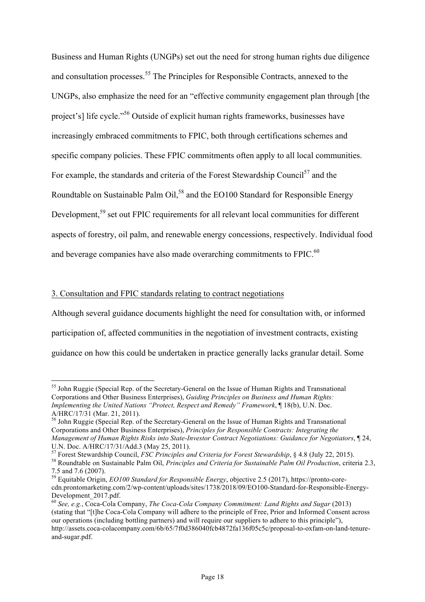Business and Human Rights (UNGPs) set out the need for strong human rights due diligence and consultation processes.<sup>55</sup> The Principles for Responsible Contracts, annexed to the UNGPs, also emphasize the need for an "effective community engagement plan through [the project's] life cycle."56 Outside of explicit human rights frameworks, businesses have increasingly embraced commitments to FPIC, both through certifications schemes and specific company policies. These FPIC commitments often apply to all local communities. For example, the standards and criteria of the Forest Stewardship Council<sup>57</sup> and the Roundtable on Sustainable Palm Oil,<sup>58</sup> and the EO100 Standard for Responsible Energy Development,<sup>59</sup> set out FPIC requirements for all relevant local communities for different aspects of forestry, oil palm, and renewable energy concessions, respectively. Individual food and beverage companies have also made overarching commitments to FPIC.<sup>60</sup>

# 3. Consultation and FPIC standards relating to contract negotiations

Although several guidance documents highlight the need for consultation with, or informed participation of, affected communities in the negotiation of investment contracts, existing guidance on how this could be undertaken in practice generally lacks granular detail. Some

 <sup>55</sup> John Ruggie (Special Rep. of the Secretary-General on the Issue of Human Rights and Transnational Corporations and Other Business Enterprises), *Guiding Principles on Business and Human Rights: Implementing the United Nations "Protect, Respect and Remedy" Framework*, ¶ 18(b), U.N. Doc. A/HRC/17/31 (Mar. 21, 2011).

<sup>&</sup>lt;sup>56</sup> John Ruggie (Special Rep. of the Secretary-General on the Issue of Human Rights and Transnational Corporations and Other Business Enterprises), *Principles for Responsible Contracts: Integrating the Management of Human Rights Risks into State-Investor Contract Negotiations: Guidance for Negotiators*, 124, U.N. Doc. A/HRC/17/31/Add.3 (May 25, 2011).

<sup>&</sup>lt;sup>57</sup> Forest Stewardship Council, *FSC Principles and Criteria for Forest Stewardship*, § 4.8 (July 22, 2015).<br><sup>58</sup> Roundtable on Sustainable Palm Oil, *Principles and Criteria for Sustainable Palm Oil Production*, criteri

<sup>7.5</sup> and 7.6 (2007).

<sup>59</sup> Equitable Origin, *EO100 Standard for Responsible Energy*, objective 2.5 (2017), https://pronto-corecdn.prontomarketing.com/2/wp-content/uploads/sites/1738/2018/09/EO100-Standard-for-Responsible-Energy-Development\_2017.pdf.

<sup>60</sup> *See, e.g.*, Coca-Cola Company, *The Coca-Cola Company Commitment: Land Rights and Sugar* (2013) (stating that "[t]he Coca-Cola Company will adhere to the principle of Free, Prior and Informed Consent across our operations (including bottling partners) and will require our suppliers to adhere to this principle"), http://assets.coca-colacompany.com/6b/65/7f0d386040fcb4872fa136f05c5c/proposal-to-oxfam-on-land-tenureand-sugar.pdf.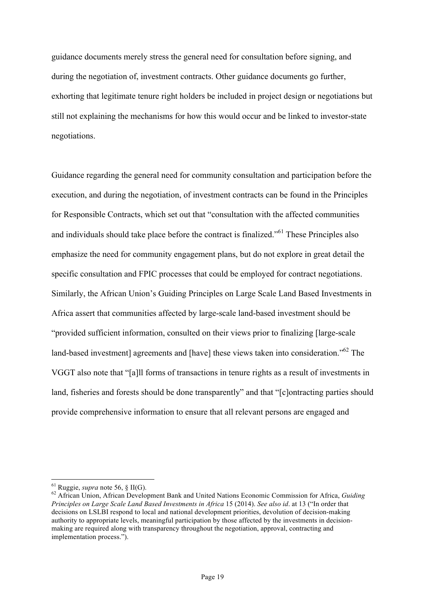guidance documents merely stress the general need for consultation before signing, and during the negotiation of, investment contracts. Other guidance documents go further, exhorting that legitimate tenure right holders be included in project design or negotiations but still not explaining the mechanisms for how this would occur and be linked to investor-state negotiations.

Guidance regarding the general need for community consultation and participation before the execution, and during the negotiation, of investment contracts can be found in the Principles for Responsible Contracts, which set out that "consultation with the affected communities and individuals should take place before the contract is finalized.<sup>561</sup> These Principles also emphasize the need for community engagement plans, but do not explore in great detail the specific consultation and FPIC processes that could be employed for contract negotiations. Similarly, the African Union's Guiding Principles on Large Scale Land Based Investments in Africa assert that communities affected by large-scale land-based investment should be "provided sufficient information, consulted on their views prior to finalizing [large-scale land-based investment] agreements and [have] these views taken into consideration."<sup>62</sup> The VGGT also note that "[a]ll forms of transactions in tenure rights as a result of investments in land, fisheries and forests should be done transparently" and that "[c]ontracting parties should provide comprehensive information to ensure that all relevant persons are engaged and

<sup>&</sup>lt;sup>61</sup> Ruggie, *supra* note 56, § II(G).<br><sup>62</sup> African Union, African Development Bank and United Nations Economic Commission for Africa, *Guiding Principles on Large Scale Land Based Investments in Africa* 15 (2014). *See also id*. at 13 ("In order that decisions on LSLBI respond to local and national development priorities, devolution of decision-making authority to appropriate levels, meaningful participation by those affected by the investments in decisionmaking are required along with transparency throughout the negotiation, approval, contracting and implementation process.").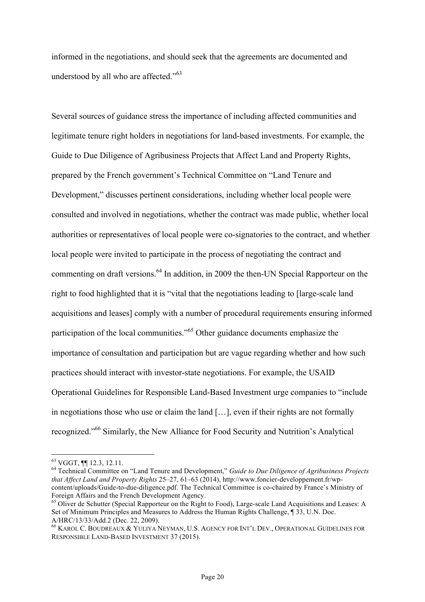informed in the negotiations, and should seek that the agreements are documented and understood by all who are affected."<sup>63</sup>

Several sources of guidance stress the importance of including affected communities and legitimate tenure right holders in negotiations for land-based investments. For example, the Guide to Due Diligence of Agribusiness Projects that Affect Land and Property Rights, prepared by the French government's Technical Committee on "Land Tenure and Development," discusses pertinent considerations, including whether local people were consulted and involved in negotiations, whether the contract was made public, whether local authorities or representatives of local people were co-signatories to the contract, and whether local people were invited to participate in the process of negotiating the contract and commenting on draft versions.<sup>64</sup> In addition, in 2009 the then-UN Special Rapporteur on the right to food highlighted that it is "vital that the negotiations leading to [large-scale land acquisitions and leases] comply with a number of procedural requirements ensuring informed participation of the local communities."<sup>65</sup> Other guidance documents emphasize the importance of consultation and participation but are vague regarding whether and how such practices should interact with investor-state negotiations. For example, the USAID Operational Guidelines for Responsible Land-Based Investment urge companies to "include in negotiations those who use or claim the land […], even if their rights are not formally recognized."<sup>66</sup> Similarly, the New Alliance for Food Security and Nutrition's Analytical

<sup>63</sup> VGGT, ¶¶ 12.3, 12.11. <sup>64</sup> Technical Committee on "Land Tenure and Development," *Guide to Due Diligence of Agribusiness Projects that Affect Land and Property Rights* 25–27, 61–63 (2014), http://www.foncier-developpement.fr/wpcontent/uploads/Guide-to-due-diligence.pdf. The Technical Committee is co-chaired by France's Ministry of Foreign Affairs and the French Development Agency.<br><sup>65</sup> Oliver de Schutter (Special Rapporteur on the Right to Food), Large-scale Land Acquisitions and Leases: A

Set of Minimum Principles and Measures to Address the Human Rights Challenge, ¶ 33, U.N. Doc. A/HRC/13/33/Add.2 (Dec. 22, 2009).

<sup>&</sup>lt;sup>66</sup> KAROL C. BOUDREAUX & YULIYA NEYMAN, U.S. AGENCY FOR INT'L DEV., OPERATIONAL GUIDELINES FOR RESPONSIBLE LAND-BASED INVESTMENT 37 (2015).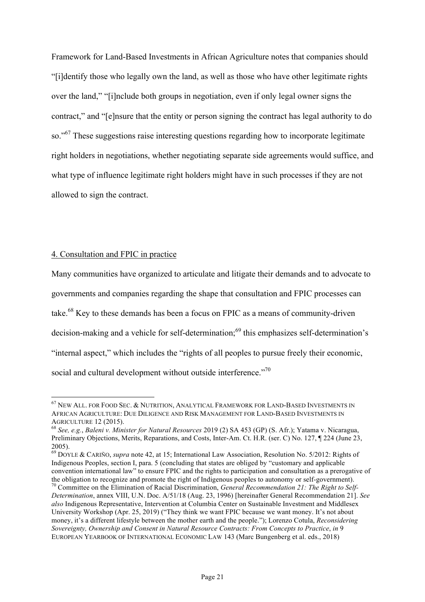Framework for Land-Based Investments in African Agriculture notes that companies should "[i]dentify those who legally own the land, as well as those who have other legitimate rights over the land," "[i]nclude both groups in negotiation, even if only legal owner signs the contract," and "[e]nsure that the entity or person signing the contract has legal authority to do so."<sup>67</sup> These suggestions raise interesting questions regarding how to incorporate legitimate right holders in negotiations, whether negotiating separate side agreements would suffice, and what type of influence legitimate right holders might have in such processes if they are not allowed to sign the contract.

# 4. Consultation and FPIC in practice

Many communities have organized to articulate and litigate their demands and to advocate to governments and companies regarding the shape that consultation and FPIC processes can take.<sup>68</sup> Key to these demands has been a focus on FPIC as a means of community-driven decision-making and a vehicle for self-determination;<sup>69</sup> this emphasizes self-determination's "internal aspect," which includes the "rights of all peoples to pursue freely their economic, social and cultural development without outside interference."<sup>70</sup>

 $^{67}$  New All. for Food Sec.  $\&$  Nutrition, Analytical Framework for Land-Based Investments in AFRICAN AGRICULTURE: DUE DILIGENCE AND RISK MANAGEMENT FOR LAND-BASED INVESTMENTS IN AGRICULTURE 12 (2015). <sup>68</sup> *See, e.g.*, *Baleni v. Minister for Natural Resources* 2019 (2) SA 453 (GP) (S. Afr.); Yatama v. Nicaragua,

Preliminary Objections, Merits, Reparations, and Costs, Inter-Am. Ct. H.R. (ser. C) No. 127, ¶ 224 (June 23, 2005).

<sup>69</sup> DOYLE & CARIÑO, *supra* note 42, at 15; International Law Association, Resolution No. 5/2012: Rights of Indigenous Peoples, section I, para. 5 (concluding that states are obliged by "customary and applicable convention international law" to ensure FPIC and the rights to participation and consultation as a prerogative of

the obligation to recognize and promote the right of Indigenous peoples to autonomy or self-government). <sup>70</sup> Committee on the Elimination of Racial Discrimination, *General Recommendation 21: The Right to Self-Determination*, annex VIII, U.N. Doc. A/51/18 (Aug. 23, 1996) [hereinafter General Recommendation 21]. *See also* Indigenous Representative, Intervention at Columbia Center on Sustainable Investment and Middlesex University Workshop (Apr. 25, 2019) ("They think we want FPIC because we want money. It's not about money, it's a different lifestyle between the mother earth and the people."); Lorenzo Cotula, *Reconsidering Sovereignty, Ownership and Consent in Natural Resource Contracts: From Concepts to Practice*, *in* 9 EUROPEAN YEARBOOK OF INTERNATIONAL ECONOMIC LAW 143 (Marc Bungenberg et al. eds., 2018)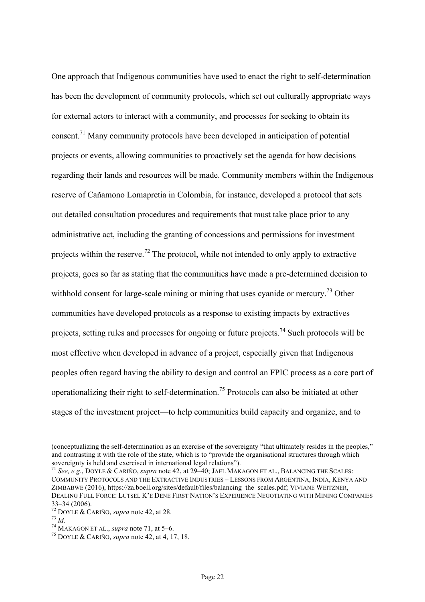One approach that Indigenous communities have used to enact the right to self-determination has been the development of community protocols, which set out culturally appropriate ways for external actors to interact with a community, and processes for seeking to obtain its consent.71 Many community protocols have been developed in anticipation of potential projects or events, allowing communities to proactively set the agenda for how decisions regarding their lands and resources will be made. Community members within the Indigenous reserve of Cañamono Lomapretia in Colombia, for instance, developed a protocol that sets out detailed consultation procedures and requirements that must take place prior to any administrative act, including the granting of concessions and permissions for investment projects within the reserve.<sup>72</sup> The protocol, while not intended to only apply to extractive projects, goes so far as stating that the communities have made a pre-determined decision to withhold consent for large-scale mining or mining that uses cyanide or mercury.<sup>73</sup> Other communities have developed protocols as a response to existing impacts by extractives projects, setting rules and processes for ongoing or future projects.<sup>74</sup> Such protocols will be most effective when developed in advance of a project, especially given that Indigenous peoples often regard having the ability to design and control an FPIC process as a core part of operationalizing their right to self-determination. <sup>75</sup> Protocols can also be initiated at other stages of the investment project—to help communities build capacity and organize, and to

 $\overline{a}$ 

<sup>(</sup>conceptualizing the self-determination as an exercise of the sovereignty "that ultimately resides in the peoples," and contrasting it with the role of the state, which is to "provide the organisational structures through which sovereignty is held and exercised in international legal relations").

<sup>71</sup> *See, e.g.*, DOYLE & CARIÑO, *supra* note 42, at 29–40; JAEL MAKAGON ET AL., BALANCING THE SCALES: COMMUNITY PROTOCOLS AND THE EXTRACTIVE INDUSTRIES – LESSONS FROM ARGENTINA, INDIA, KENYA AND ZIMBABWE (2016), https://za.boell.org/sites/default/files/balancing\_the\_scales.pdf; VIVIANE WEITZNER, DEALING FULL FORCE: LUTSEL K'E DENE FIRST NATION'S EXPERIENCE NEGOTIATING WITH MINING COMPANIES 33–34 (2006). <sup>72</sup> DOYLE & CARIÑO, *supra* note 42, at 28. <sup>73</sup> *Id*. <sup>74</sup> MAKAGON ET AL., *supra* note 71, at 5–6. <sup>75</sup> DOYLE & CARIÑO, *supra* note 42, at 4, 17, 18.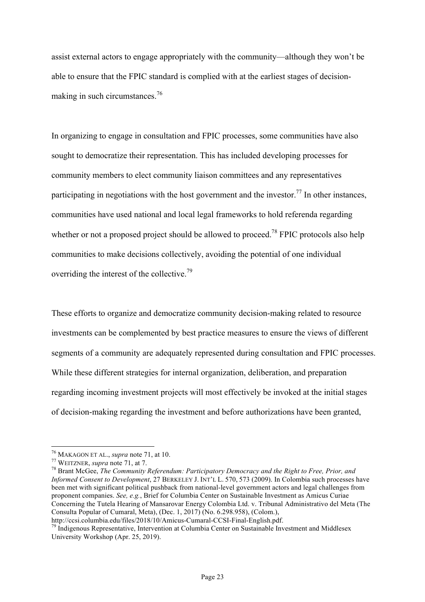assist external actors to engage appropriately with the community—although they won't be able to ensure that the FPIC standard is complied with at the earliest stages of decisionmaking in such circumstances.<sup>76</sup>

In organizing to engage in consultation and FPIC processes, some communities have also sought to democratize their representation. This has included developing processes for community members to elect community liaison committees and any representatives participating in negotiations with the host government and the investor.<sup>77</sup> In other instances, communities have used national and local legal frameworks to hold referenda regarding whether or not a proposed project should be allowed to proceed.<sup>78</sup> FPIC protocols also help communities to make decisions collectively, avoiding the potential of one individual overriding the interest of the collective.<sup>79</sup>

These efforts to organize and democratize community decision-making related to resource investments can be complemented by best practice measures to ensure the views of different segments of a community are adequately represented during consultation and FPIC processes. While these different strategies for internal organization, deliberation, and preparation regarding incoming investment projects will most effectively be invoked at the initial stages of decision-making regarding the investment and before authorizations have been granted,

<sup>&</sup>lt;sup>76</sup> MAKAGON ET AL., *supra* note 71, at 10.<br><sup>77</sup> WEITZNER, *supra* note 71, at 7.<br><sup>78</sup> Brant McGee, *The Community Referendum: Participatory Democracy and the Right to Free, Prior, and Informed Consent to Development*, 27 BERKELEY J. INT'L L. 570, 573 (2009). In Colombia such processes have been met with significant political pushback from national-level government actors and legal challenges from proponent companies. *See, e.g.*, Brief for Columbia Center on Sustainable Investment as Amicus Curiae Concerning the Tutela Hearing of Mansarovar Energy Colombia Ltd. v. Tribunal Administrativo del Meta (The Consulta Popular of Cumaral, Meta), (Dec. 1, 2017) (No. 6.298.958), (Colom.), http://ccsi.columbia.edu/files/2018/10/Amicus-Cumaral-CCSI-Final-English.pdf.

 $\frac{79}{10}$  Indigenous Representative. Intervention at Columbia Center on Sustainable Investment and Middlesex University Workshop (Apr. 25, 2019).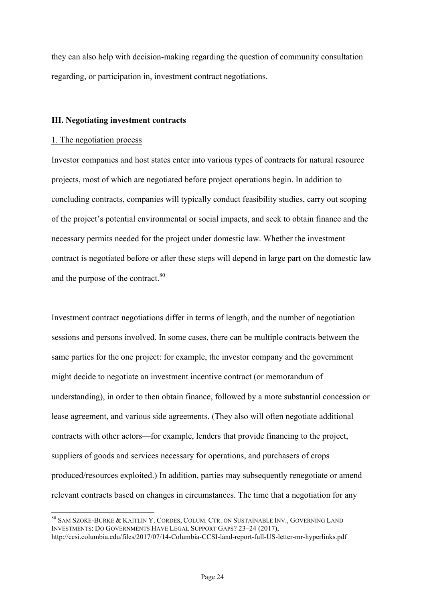they can also help with decision-making regarding the question of community consultation regarding, or participation in, investment contract negotiations.

#### **III. Negotiating investment contracts**

#### 1. The negotiation process

Investor companies and host states enter into various types of contracts for natural resource projects, most of which are negotiated before project operations begin. In addition to concluding contracts, companies will typically conduct feasibility studies, carry out scoping of the project's potential environmental or social impacts, and seek to obtain finance and the necessary permits needed for the project under domestic law. Whether the investment contract is negotiated before or after these steps will depend in large part on the domestic law and the purpose of the contract.<sup>80</sup>

Investment contract negotiations differ in terms of length, and the number of negotiation sessions and persons involved. In some cases, there can be multiple contracts between the same parties for the one project: for example, the investor company and the government might decide to negotiate an investment incentive contract (or memorandum of understanding), in order to then obtain finance, followed by a more substantial concession or lease agreement, and various side agreements. (They also will often negotiate additional contracts with other actors—for example, lenders that provide financing to the project, suppliers of goods and services necessary for operations, and purchasers of crops produced/resources exploited.) In addition, parties may subsequently renegotiate or amend relevant contracts based on changes in circumstances. The time that a negotiation for any

 <sup>80</sup> SAM SZOKE-BURKE & KAITLIN Y. CORDES, COLUM. CTR. ON SUSTAINABLE INV., GOVERNING LAND INVESTMENTS: DO GOVERNMENTS HAVE LEGAL SUPPORT GAPS? 23–24 (2017), http://ccsi.columbia.edu/files/2017/07/14-Columbia-CCSI-land-report-full-US-letter-mr-hyperlinks.pdf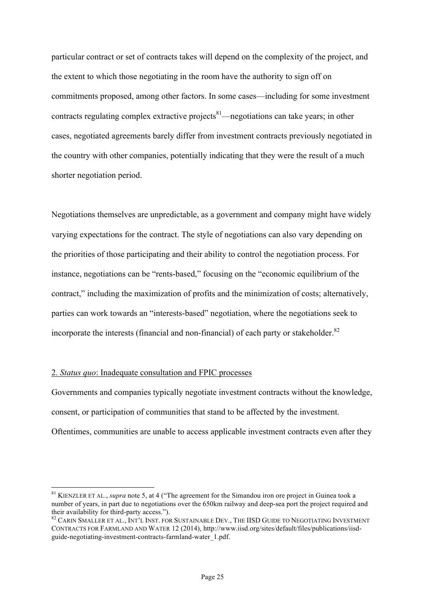particular contract or set of contracts takes will depend on the complexity of the project, and the extent to which those negotiating in the room have the authority to sign off on commitments proposed, among other factors. In some cases—including for some investment contracts regulating complex extractive projects<sup>81</sup>—negotiations can take years; in other cases, negotiated agreements barely differ from investment contracts previously negotiated in the country with other companies, potentially indicating that they were the result of a much shorter negotiation period.

Negotiations themselves are unpredictable, as a government and company might have widely varying expectations for the contract. The style of negotiations can also vary depending on the priorities of those participating and their ability to control the negotiation process. For instance, negotiations can be "rents-based," focusing on the "economic equilibrium of the contract," including the maximization of profits and the minimization of costs; alternatively, parties can work towards an "interests-based" negotiation, where the negotiations seek to incorporate the interests (financial and non-financial) of each party or stakeholder.<sup>82</sup>

# 2. *Status quo*: Inadequate consultation and FPIC processes

Governments and companies typically negotiate investment contracts without the knowledge, consent, or participation of communities that stand to be affected by the investment. Oftentimes, communities are unable to access applicable investment contracts even after they

<sup>&</sup>lt;sup>81</sup> KIENZLER ET AL., *supra* note 5, at 4 ("The agreement for the Simandou iron ore project in Guinea took a number of years, in part due to negotiations over the 650km railway and deep-sea port the project required and their availability for third-party access.").<br><sup>82</sup> CARIN SMALLER ET AL., INT'L INST. FOR SUSTAINABLE DEV., THE IISD GUIDE TO NEGOTIATING INVESTMENT

CONTRACTS FOR FARMLAND AND WATER 12 (2014), http://www.iisd.org/sites/default/files/publications/iisdguide-negotiating-investment-contracts-farmland-water\_1.pdf.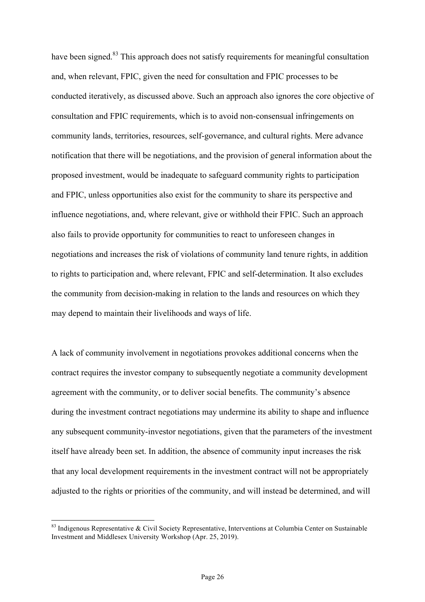have been signed.<sup>83</sup> This approach does not satisfy requirements for meaningful consultation and, when relevant, FPIC, given the need for consultation and FPIC processes to be conducted iteratively, as discussed above. Such an approach also ignores the core objective of consultation and FPIC requirements, which is to avoid non-consensual infringements on community lands, territories, resources, self-governance, and cultural rights. Mere advance notification that there will be negotiations, and the provision of general information about the proposed investment, would be inadequate to safeguard community rights to participation and FPIC, unless opportunities also exist for the community to share its perspective and influence negotiations, and, where relevant, give or withhold their FPIC. Such an approach also fails to provide opportunity for communities to react to unforeseen changes in negotiations and increases the risk of violations of community land tenure rights, in addition to rights to participation and, where relevant, FPIC and self-determination. It also excludes the community from decision-making in relation to the lands and resources on which they may depend to maintain their livelihoods and ways of life.

A lack of community involvement in negotiations provokes additional concerns when the contract requires the investor company to subsequently negotiate a community development agreement with the community, or to deliver social benefits. The community's absence during the investment contract negotiations may undermine its ability to shape and influence any subsequent community-investor negotiations, given that the parameters of the investment itself have already been set. In addition, the absence of community input increases the risk that any local development requirements in the investment contract will not be appropriately adjusted to the rights or priorities of the community, and will instead be determined, and will

 $83$  Indigenous Representative & Civil Society Representative, Interventions at Columbia Center on Sustainable Investment and Middlesex University Workshop (Apr. 25, 2019).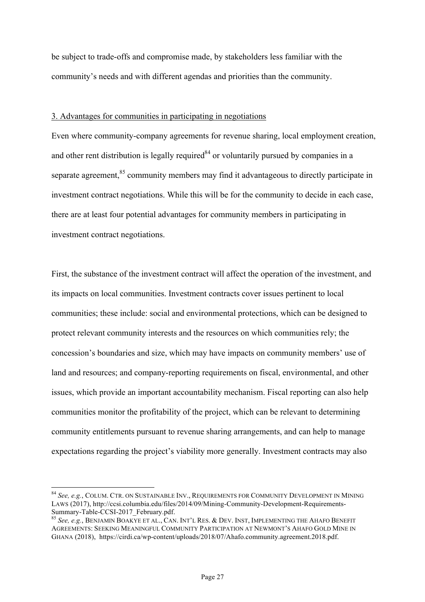be subject to trade-offs and compromise made, by stakeholders less familiar with the community's needs and with different agendas and priorities than the community.

#### 3. Advantages for communities in participating in negotiations

Even where community-company agreements for revenue sharing, local employment creation, and other rent distribution is legally required<sup>84</sup> or voluntarily pursued by companies in a separate agreement,<sup>85</sup> community members may find it advantageous to directly participate in investment contract negotiations. While this will be for the community to decide in each case, there are at least four potential advantages for community members in participating in investment contract negotiations.

First, the substance of the investment contract will affect the operation of the investment, and its impacts on local communities. Investment contracts cover issues pertinent to local communities; these include: social and environmental protections, which can be designed to protect relevant community interests and the resources on which communities rely; the concession's boundaries and size, which may have impacts on community members' use of land and resources; and company-reporting requirements on fiscal, environmental, and other issues, which provide an important accountability mechanism. Fiscal reporting can also help communities monitor the profitability of the project, which can be relevant to determining community entitlements pursuant to revenue sharing arrangements, and can help to manage expectations regarding the project's viability more generally. Investment contracts may also

 <sup>84</sup> *See, e.g.*, COLUM. CTR. ON SUSTAINABLE INV., REQUIREMENTS FOR COMMUNITY DEVELOPMENT IN MINING LAWS (2017), http://ccsi.columbia.edu/files/2014/09/Mining-Community-Development-Requirements-Summary-Table-CCSI-2017\_February.pdf. <sup>85</sup> *See, e.g.*, BENJAMIN BOAKYE ET AL., CAN. INT'L RES. & DEV. INST, IMPLEMENTING THE AHAFO BENEFIT

AGREEMENTS: SEEKING MEANINGFUL COMMUNITY PARTICIPATION AT NEWMONT'S AHAFO GOLD MINE IN GHANA (2018), https://cirdi.ca/wp-content/uploads/2018/07/Ahafo.community.agreement.2018.pdf.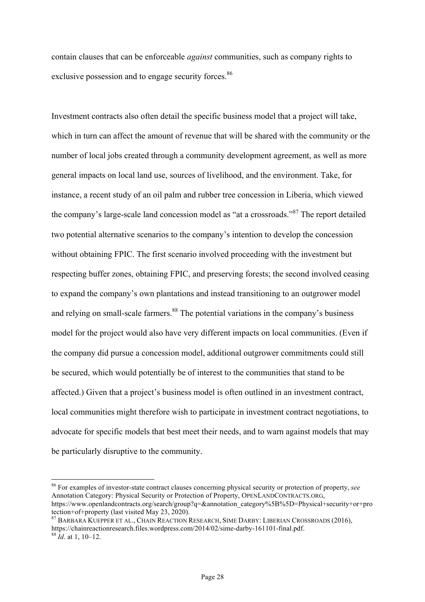contain clauses that can be enforceable *against* communities, such as company rights to exclusive possession and to engage security forces.<sup>86</sup>

Investment contracts also often detail the specific business model that a project will take, which in turn can affect the amount of revenue that will be shared with the community or the number of local jobs created through a community development agreement, as well as more general impacts on local land use, sources of livelihood, and the environment. Take, for instance, a recent study of an oil palm and rubber tree concession in Liberia, which viewed the company's large-scale land concession model as "at a crossroads."<sup>87</sup> The report detailed two potential alternative scenarios to the company's intention to develop the concession without obtaining FPIC. The first scenario involved proceeding with the investment but respecting buffer zones, obtaining FPIC, and preserving forests; the second involved ceasing to expand the company's own plantations and instead transitioning to an outgrower model and relying on small-scale farmers.<sup>88</sup> The potential variations in the company's business model for the project would also have very different impacts on local communities. (Even if the company did pursue a concession model, additional outgrower commitments could still be secured, which would potentially be of interest to the communities that stand to be affected.) Given that a project's business model is often outlined in an investment contract, local communities might therefore wish to participate in investment contract negotiations, to advocate for specific models that best meet their needs, and to warn against models that may be particularly disruptive to the community.

 <sup>86</sup> For examples of investor-state contract clauses concerning physical security or protection of property, *see* Annotation Category: Physical Security or Protection of Property, OPENLANDCONTRACTS.ORG, https://www.openlandcontracts.org/search/group?q=&annotation\_category%5B%5D=Physical+security+or+pro tection+of+property (last visited May 23, 2020).

<sup>87</sup> BARBARA KUEPPER ET AL., CHAIN REACTION RESEARCH, SIME DARBY: LIBERIAN CROSSROADS (2016), https://chainreactionresearch.files.wordpress.com/2014/02/sime-darby-161101-final.pdf. <sup>88</sup> *Id*. at 1, 10–12.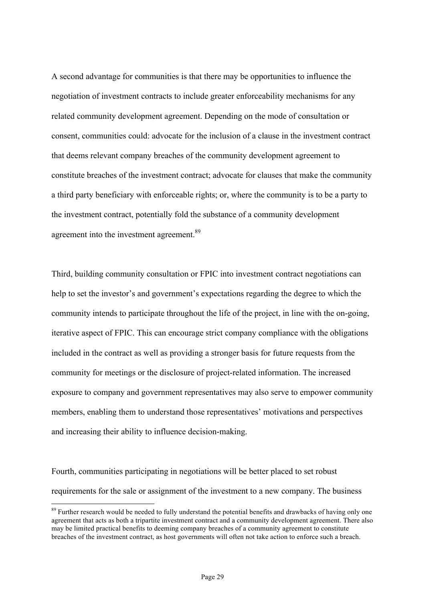A second advantage for communities is that there may be opportunities to influence the negotiation of investment contracts to include greater enforceability mechanisms for any related community development agreement. Depending on the mode of consultation or consent, communities could: advocate for the inclusion of a clause in the investment contract that deems relevant company breaches of the community development agreement to constitute breaches of the investment contract; advocate for clauses that make the community a third party beneficiary with enforceable rights; or, where the community is to be a party to the investment contract, potentially fold the substance of a community development agreement into the investment agreement.<sup>89</sup>

Third, building community consultation or FPIC into investment contract negotiations can help to set the investor's and government's expectations regarding the degree to which the community intends to participate throughout the life of the project, in line with the on-going, iterative aspect of FPIC. This can encourage strict company compliance with the obligations included in the contract as well as providing a stronger basis for future requests from the community for meetings or the disclosure of project-related information. The increased exposure to company and government representatives may also serve to empower community members, enabling them to understand those representatives' motivations and perspectives and increasing their ability to influence decision-making.

Fourth, communities participating in negotiations will be better placed to set robust requirements for the sale or assignment of the investment to a new company. The business

<sup>&</sup>lt;sup>89</sup> Further research would be needed to fully understand the potential benefits and drawbacks of having only one agreement that acts as both a tripartite investment contract and a community development agreement. There also may be limited practical benefits to deeming company breaches of a community agreement to constitute breaches of the investment contract, as host governments will often not take action to enforce such a breach.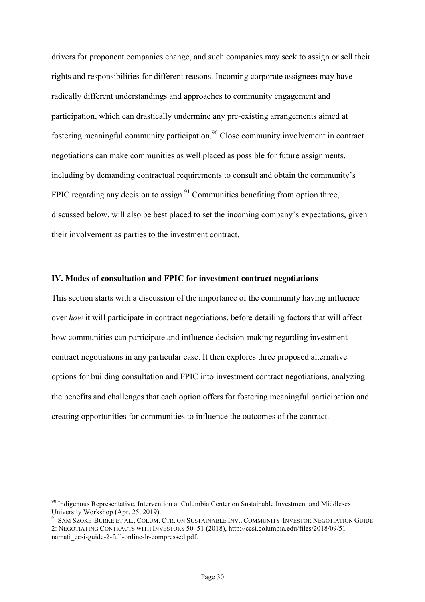drivers for proponent companies change, and such companies may seek to assign or sell their rights and responsibilities for different reasons. Incoming corporate assignees may have radically different understandings and approaches to community engagement and participation, which can drastically undermine any pre-existing arrangements aimed at fostering meaningful community participation.<sup>90</sup> Close community involvement in contract negotiations can make communities as well placed as possible for future assignments, including by demanding contractual requirements to consult and obtain the community's FPIC regarding any decision to assign.<sup>91</sup> Communities benefiting from option three, discussed below, will also be best placed to set the incoming company's expectations, given their involvement as parties to the investment contract.

# **IV. Modes of consultation and FPIC for investment contract negotiations**

This section starts with a discussion of the importance of the community having influence over *how* it will participate in contract negotiations, before detailing factors that will affect how communities can participate and influence decision-making regarding investment contract negotiations in any particular case. It then explores three proposed alternative options for building consultation and FPIC into investment contract negotiations, analyzing the benefits and challenges that each option offers for fostering meaningful participation and creating opportunities for communities to influence the outcomes of the contract.

<sup>&</sup>lt;sup>90</sup> Indigenous Representative, Intervention at Columbia Center on Sustainable Investment and Middlesex University Workshop (Apr. 25, 2019).

<sup>&</sup>lt;sup>91</sup> SAM SZOKE-BURKE ET AL., COLUM. CTR. ON SUSTAINABLE INV., COMMUNITY-INVESTOR NEGOTIATION GUIDE 2: NEGOTIATING CONTRACTS WITH INVESTORS 50–51 (2018), http://ccsi.columbia.edu/files/2018/09/51 namati\_ccsi-guide-2-full-online-lr-compressed.pdf.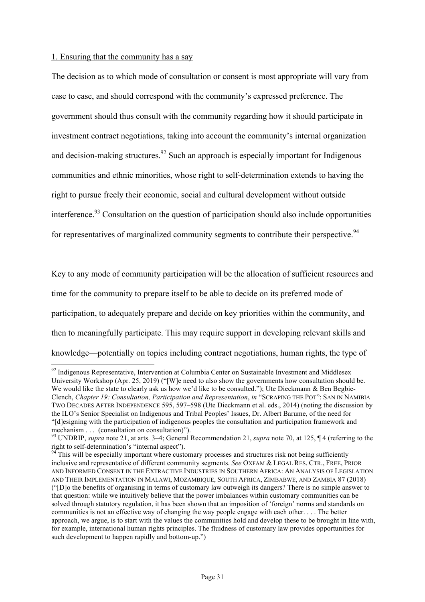#### 1. Ensuring that the community has a say

The decision as to which mode of consultation or consent is most appropriate will vary from case to case, and should correspond with the community's expressed preference. The government should thus consult with the community regarding how it should participate in investment contract negotiations, taking into account the community's internal organization and decision-making structures.<sup>92</sup> Such an approach is especially important for Indigenous communities and ethnic minorities, whose right to self-determination extends to having the right to pursue freely their economic, social and cultural development without outside interference.<sup>93</sup> Consultation on the question of participation should also include opportunities for representatives of marginalized community segments to contribute their perspective.<sup>94</sup>

Key to any mode of community participation will be the allocation of sufficient resources and time for the community to prepare itself to be able to decide on its preferred mode of participation, to adequately prepare and decide on key priorities within the community, and then to meaningfully participate. This may require support in developing relevant skills and knowledge—potentially on topics including contract negotiations, human rights, the type of

 $92$  Indigenous Representative, Intervention at Columbia Center on Sustainable Investment and Middlesex University Workshop (Apr. 25, 2019) ("[W]e need to also show the governments how consultation should be. We would like the state to clearly ask us how we'd like to be consulted."); Ute Dieckmann & Ben Begbie-Clench, *Chapter 19: Consultation, Participation and Representation*, *in* "SCRAPING THE POT": SAN IN NAMIBIA TWO DECADES AFTER INDEPENDENCE 595, 597–598 (Ute Dieckmann et al. eds., 2014) (noting the discussion by the ILO's Senior Specialist on Indigenous and Tribal Peoples' Issues, Dr. Albert Barume, of the need for "[d]esigning with the participation of indigenous peoples the consultation and participation framework and mechanism . . . (consultation on consultation)").

<sup>93</sup> UNDRIP, *supra* note 21, at arts. 3–4; General Recommendation 21, *supra* note 70, at 125, ¶ 4 (referring to the right to self-determination's "internal aspect").<br><sup>94</sup> This will be especially important where customary processes and structures risk not being sufficiently

inclusive and representative of different community segments. *See* OXFAM & LEGAL RES. CTR., FREE, PRIOR AND INFORMED CONSENT IN THE EXTRACTIVE INDUSTRIES IN SOUTHERN AFRICA: AN ANALYSIS OF LEGISLATION AND THEIR IMPLEMENTATION IN MALAWI, MOZAMBIQUE, SOUTH AFRICA, ZIMBABWE, AND ZAMBIA 87 (2018) ("[D]o the benefits of organising in terms of customary law outweigh its dangers? There is no simple answer to that question: while we intuitively believe that the power imbalances within customary communities can be solved through statutory regulation, it has been shown that an imposition of 'foreign' norms and standards on communities is not an effective way of changing the way people engage with each other. . . . The better approach, we argue, is to start with the values the communities hold and develop these to be brought in line with, for example, international human rights principles. The fluidness of customary law provides opportunities for such development to happen rapidly and bottom-up.")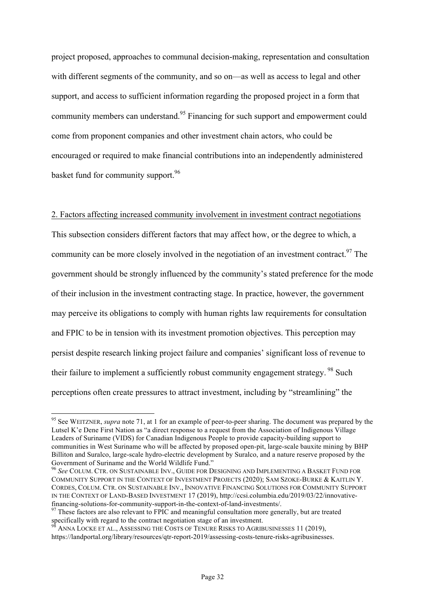project proposed, approaches to communal decision-making, representation and consultation with different segments of the community, and so on—as well as access to legal and other support, and access to sufficient information regarding the proposed project in a form that community members can understand.<sup>95</sup> Financing for such support and empowerment could come from proponent companies and other investment chain actors, who could be encouraged or required to make financial contributions into an independently administered basket fund for community support.<sup>96</sup>

## 2. Factors affecting increased community involvement in investment contract negotiations

This subsection considers different factors that may affect how, or the degree to which, a community can be more closely involved in the negotiation of an investment contract.  $97$  The government should be strongly influenced by the community's stated preference for the mode of their inclusion in the investment contracting stage. In practice, however, the government may perceive its obligations to comply with human rights law requirements for consultation and FPIC to be in tension with its investment promotion objectives. This perception may persist despite research linking project failure and companies' significant loss of revenue to their failure to implement a sufficiently robust community engagement strategy.<sup>98</sup> Such perceptions often create pressures to attract investment, including by "streamlining" the

<sup>&</sup>lt;sup>95</sup> See WEITZNER, *supra* note 71, at 1 for an example of peer-to-peer sharing. The document was prepared by the Lutsel K'e Dene First Nation as "a direct response to a request from the Association of Indigenous Village Leaders of Suriname (VIDS) for Canadian Indigenous People to provide capacity-building support to communities in West Suriname who will be affected by proposed open-pit, large-scale bauxite mining by BHP Billiton and Suralco, large-scale hydro-electric development by Suralco, and a nature reserve proposed by the Government of Suriname and the World Wildlife Fund." <sup>96</sup> *See* COLUM. CTR. ON SUSTAINABLE INV., GUIDE FOR DESIGNING AND IMPLEMENTING A BASKET FUND FOR

COMMUNITY SUPPORT IN THE CONTEXT OF INVESTMENT PROJECTS (2020); SAM SZOKE-BURKE & KAITLIN Y. CORDES, COLUM. CTR. ON SUSTAINABLE INV., INNOVATIVE FINANCING SOLUTIONS FOR COMMUNITY SUPPORT IN THE CONTEXT OF LAND-BASED INVESTMENT 17 (2019), http://ccsi.columbia.edu/2019/03/22/innovativefinancing-solutions-for-community-support-in-the-context-of-land-investments/. <sup>97</sup> These factors are also relevant to FPIC and meaningful consultation more generally, but are treated

specifically with regard to the contract negotiation stage of an investment.

<sup>98</sup> ANNA LOCKE ET AL., ASSESSING THE COSTS OF TENURE RISKS TO AGRIBUSINESSES 11 (2019), https://landportal.org/library/resources/qtr-report-2019/assessing-costs-tenure-risks-agribusinesses.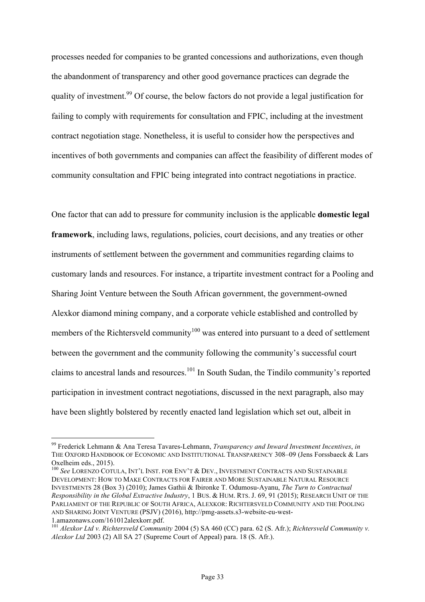processes needed for companies to be granted concessions and authorizations, even though the abandonment of transparency and other good governance practices can degrade the quality of investment.<sup>99</sup> Of course, the below factors do not provide a legal justification for failing to comply with requirements for consultation and FPIC, including at the investment contract negotiation stage. Nonetheless, it is useful to consider how the perspectives and incentives of both governments and companies can affect the feasibility of different modes of community consultation and FPIC being integrated into contract negotiations in practice.

One factor that can add to pressure for community inclusion is the applicable **domestic legal framework**, including laws, regulations, policies, court decisions, and any treaties or other instruments of settlement between the government and communities regarding claims to customary lands and resources. For instance, a tripartite investment contract for a Pooling and Sharing Joint Venture between the South African government, the government-owned Alexkor diamond mining company, and a corporate vehicle established and controlled by members of the Richtersveld community<sup>100</sup> was entered into pursuant to a deed of settlement between the government and the community following the community's successful court claims to ancestral lands and resources.<sup>101</sup> In South Sudan, the Tindilo community's reported participation in investment contract negotiations, discussed in the next paragraph, also may have been slightly bolstered by recently enacted land legislation which set out, albeit in

 <sup>99</sup> Frederick Lehmann & Ana Teresa Tavares-Lehmann, *Transparency and Inward Investment Incentives*, *in* THE OXFORD HANDBOOK OF ECONOMIC AND INSTITUTIONAL TRANSPARENCY 308-09 (Jens Forssbaeck & Lars Oxelheim eds., 2015).

<sup>&</sup>lt;sup>100</sup> See LORENZO COTULA, INT'L INST. FOR ENV'T & DEV., INVESTMENT CONTRACTS AND SUSTAINABLE DEVELOPMENT: HOW TO MAKE CONTRACTS FOR FAIRER AND MORE SUSTAINABLE NATURAL RESOURCE INVESTMENTS 28 (Box 3) (2010); James Gathii & Ibironke T. Odumosu-Ayanu, *The Turn to Contractual Responsibility in the Global Extractive Industry*, 1 BUS. & HUM. RTS. J. 69, 91 (2015); RESEARCH UNIT OF THE PARLIAMENT OF THE REPUBLIC OF SOUTH AFRICA, ALEXKOR: RICHTERSVELD COMMUNITY AND THE POOLING AND SHARING JOINT VENTURE (PSJV) (2016), http://pmg-assets.s3-website-eu-west-1.amazonaws.com/161012alexkorr.pdf.

<sup>101</sup> *Alexkor Ltd v. Richtersveld Community* 2004 (5) SA 460 (CC) para. 62 (S. Afr.); *Richtersveld Community v. Alexkor Ltd* 2003 (2) All SA 27 (Supreme Court of Appeal) para. 18 (S. Afr.).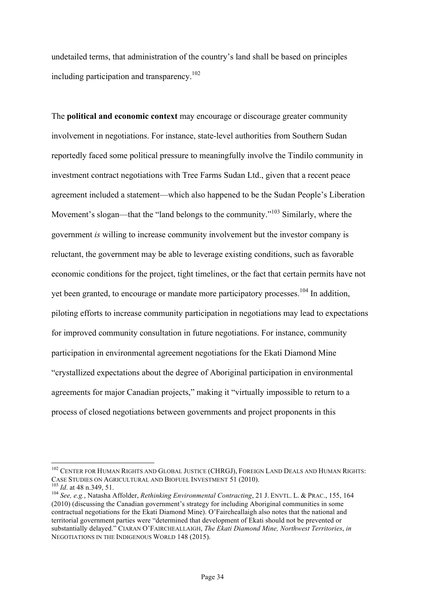undetailed terms, that administration of the country's land shall be based on principles including participation and transparency.<sup>102</sup>

The **political and economic context** may encourage or discourage greater community involvement in negotiations. For instance, state-level authorities from Southern Sudan reportedly faced some political pressure to meaningfully involve the Tindilo community in investment contract negotiations with Tree Farms Sudan Ltd., given that a recent peace agreement included a statement—which also happened to be the Sudan People's Liberation Movement's slogan—that the "land belongs to the community."<sup>103</sup> Similarly, where the government *is* willing to increase community involvement but the investor company is reluctant, the government may be able to leverage existing conditions, such as favorable economic conditions for the project, tight timelines, or the fact that certain permits have not yet been granted, to encourage or mandate more participatory processes.<sup>104</sup> In addition, piloting efforts to increase community participation in negotiations may lead to expectations for improved community consultation in future negotiations. For instance, community participation in environmental agreement negotiations for the Ekati Diamond Mine "crystallized expectations about the degree of Aboriginal participation in environmental agreements for major Canadian projects," making it "virtually impossible to return to a process of closed negotiations between governments and project proponents in this

<sup>&</sup>lt;sup>102</sup> CENTER FOR HUMAN RIGHTS AND GLOBAL JUSTICE (CHRGJ), FOREIGN LAND DEALS AND HUMAN RIGHTS: CASE STUDIES ON AGRICULTURAL AND BIOFUEL INVESTMENT 51 (2010).<br><sup>103</sup> *Id.* at 48 n.349, 51.<br><sup>104</sup> *See, e.g.*, Natasha Affolder, *Rethinking Environmental Contracting*, 21 J. ENVTL. L. & PRAC., 155, 164

<sup>(2010) (</sup>discussing the Canadian government's strategy for including Aboriginal communities in some contractual negotiations for the Ekati Diamond Mine). O'Faircheallaigh also notes that the national and territorial government parties were "determined that development of Ekati should not be prevented or substantially delayed." CIARAN O'FAIRCHEALLAIGH, *The Ekati Diamond Mine, Northwest Territories*, *in* NEGOTIATIONS IN THE INDIGENOUS WORLD 148 (2015).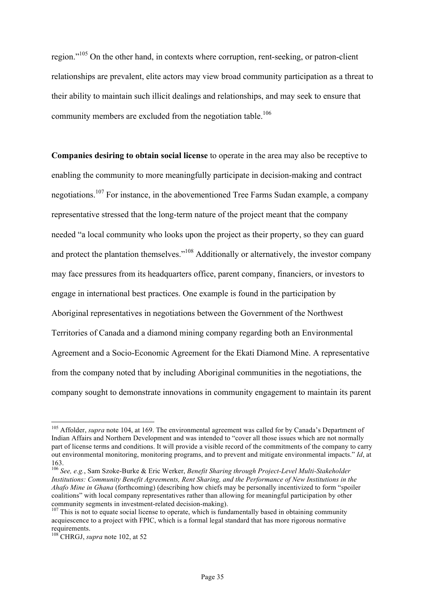region."105 On the other hand, in contexts where corruption, rent-seeking, or patron-client relationships are prevalent, elite actors may view broad community participation as a threat to their ability to maintain such illicit dealings and relationships, and may seek to ensure that community members are excluded from the negotiation table.<sup>106</sup>

**Companies desiring to obtain social license** to operate in the area may also be receptive to enabling the community to more meaningfully participate in decision-making and contract negotiations.<sup>107</sup> For instance, in the abovementioned Tree Farms Sudan example, a company representative stressed that the long-term nature of the project meant that the company needed "a local community who looks upon the project as their property, so they can guard and protect the plantation themselves."<sup>108</sup> Additionally or alternatively, the investor company may face pressures from its headquarters office, parent company, financiers, or investors to engage in international best practices. One example is found in the participation by Aboriginal representatives in negotiations between the Government of the Northwest Territories of Canada and a diamond mining company regarding both an Environmental Agreement and a Socio-Economic Agreement for the Ekati Diamond Mine. A representative from the company noted that by including Aboriginal communities in the negotiations, the company sought to demonstrate innovations in community engagement to maintain its parent

<sup>&</sup>lt;sup>105</sup> Affolder, *supra* note 104, at 169. The environmental agreement was called for by Canada's Department of Indian Affairs and Northern Development and was intended to "cover all those issues which are not normally part of license terms and conditions. It will provide a visible record of the commitments of the company to carry out environmental monitoring, monitoring programs, and to prevent and mitigate environmental impacts." *Id*, at 163.

<sup>106</sup> *See, e.g.*, Sam Szoke-Burke & Eric Werker, *Benefit Sharing through Project-Level Multi-Stakeholder Institutions: Community Benefit Agreements, Rent Sharing, and the Performance of New Institutions in the Ahafo Mine in Ghana* (forthcoming) (describing how chiefs may be personally incentivized to form "spoiler coalitions" with local company representatives rather than allowing for meaningful participation by other community segments in investment-related decision-making).<br><sup>107</sup> This is not to equate social license to operate, which is fundamentally based in obtaining community

acquiescence to a project with FPIC, which is a formal legal standard that has more rigorous normative requirements.

<sup>108</sup> CHRGJ, *supra* note 102, at 52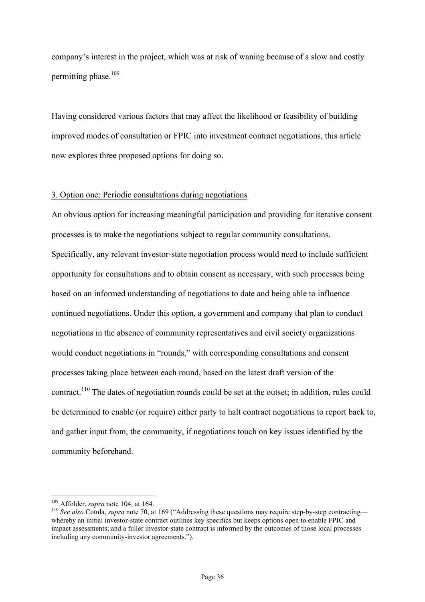company's interest in the project, which was at risk of waning because of a slow and costly permitting phase. 109

Having considered various factors that may affect the likelihood or feasibility of building improved modes of consultation or FPIC into investment contract negotiations, this article now explores three proposed options for doing so.

#### 3. Option one: Periodic consultations during negotiations

An obvious option for increasing meaningful participation and providing for iterative consent processes is to make the negotiations subject to regular community consultations. Specifically, any relevant investor-state negotiation process would need to include sufficient opportunity for consultations and to obtain consent as necessary, with such processes being based on an informed understanding of negotiations to date and being able to influence continued negotiations. Under this option, a government and company that plan to conduct negotiations in the absence of community representatives and civil society organizations would conduct negotiations in "rounds," with corresponding consultations and consent processes taking place between each round, based on the latest draft version of the contract.<sup>110</sup> The dates of negotiation rounds could be set at the outset; in addition, rules could be determined to enable (or require) either party to halt contract negotiations to report back to, and gather input from, the community, if negotiations touch on key issues identified by the community beforehand.

<sup>&</sup>lt;sup>109</sup> Affolder, *supra* note 104, at 164.<br><sup>110</sup> *See also* Cotula, *supra* note 70, at 169 ("Addressing these questions may require step-by-step contracting whereby an initial investor-state contract outlines key specifics but keeps options open to enable FPIC and impact assessments; and a fuller investor-state contract is informed by the outcomes of those local processes including any community-investor agreements.").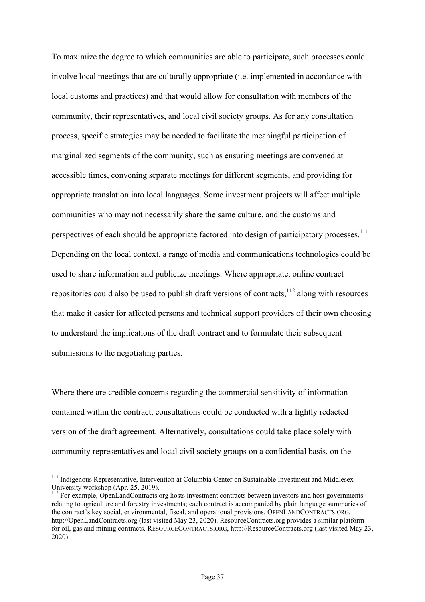To maximize the degree to which communities are able to participate, such processes could involve local meetings that are culturally appropriate (i.e. implemented in accordance with local customs and practices) and that would allow for consultation with members of the community, their representatives, and local civil society groups. As for any consultation process, specific strategies may be needed to facilitate the meaningful participation of marginalized segments of the community, such as ensuring meetings are convened at accessible times, convening separate meetings for different segments, and providing for appropriate translation into local languages. Some investment projects will affect multiple communities who may not necessarily share the same culture, and the customs and perspectives of each should be appropriate factored into design of participatory processes.<sup>111</sup> Depending on the local context, a range of media and communications technologies could be used to share information and publicize meetings. Where appropriate, online contract repositories could also be used to publish draft versions of contracts, $1^{12}$  along with resources that make it easier for affected persons and technical support providers of their own choosing to understand the implications of the draft contract and to formulate their subsequent submissions to the negotiating parties.

Where there are credible concerns regarding the commercial sensitivity of information contained within the contract, consultations could be conducted with a lightly redacted version of the draft agreement. Alternatively, consultations could take place solely with community representatives and local civil society groups on a confidential basis, on the

<sup>&</sup>lt;sup>111</sup> Indigenous Representative, Intervention at Columbia Center on Sustainable Investment and Middlesex University workshop (Apr. 25, 2019).<br><sup>112</sup> For example, OpenLandContracts.org hosts investment contracts between investors and host governments

relating to agriculture and forestry investments; each contract is accompanied by plain language summaries of the contract's key social, environmental, fiscal, and operational provisions. OPENLANDCONTRACTS.ORG, http://OpenLandContracts.org (last visited May 23, 2020). ResourceContracts.org provides a similar platform for oil, gas and mining contracts. RESOURCECONTRACTS.ORG, http://ResourceContracts.org (last visited May 23, 2020).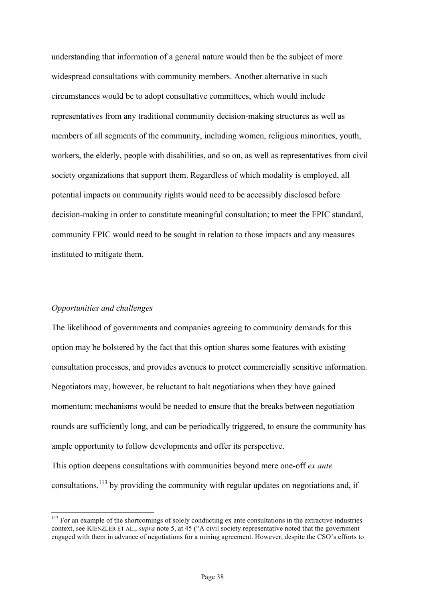understanding that information of a general nature would then be the subject of more widespread consultations with community members. Another alternative in such circumstances would be to adopt consultative committees, which would include representatives from any traditional community decision-making structures as well as members of all segments of the community, including women, religious minorities, youth, workers, the elderly, people with disabilities, and so on, as well as representatives from civil society organizations that support them. Regardless of which modality is employed, all potential impacts on community rights would need to be accessibly disclosed before decision-making in order to constitute meaningful consultation; to meet the FPIC standard, community FPIC would need to be sought in relation to those impacts and any measures instituted to mitigate them.

#### *Opportunities and challenges*

The likelihood of governments and companies agreeing to community demands for this option may be bolstered by the fact that this option shares some features with existing consultation processes, and provides avenues to protect commercially sensitive information. Negotiators may, however, be reluctant to halt negotiations when they have gained momentum; mechanisms would be needed to ensure that the breaks between negotiation rounds are sufficiently long, and can be periodically triggered, to ensure the community has ample opportunity to follow developments and offer its perspective.

This option deepens consultations with communities beyond mere one-off *ex ante* consultations,113 by providing the community with regular updates on negotiations and, if

<sup>&</sup>lt;sup>113</sup> For an example of the shortcomings of solely conducting ex ante consultations in the extractive industries context, see KIENZLER ET AL., *supra* note 5, at 45 ("A civil society representative noted that the government engaged with them in advance of negotiations for a mining agreement. However, despite the CSO's efforts to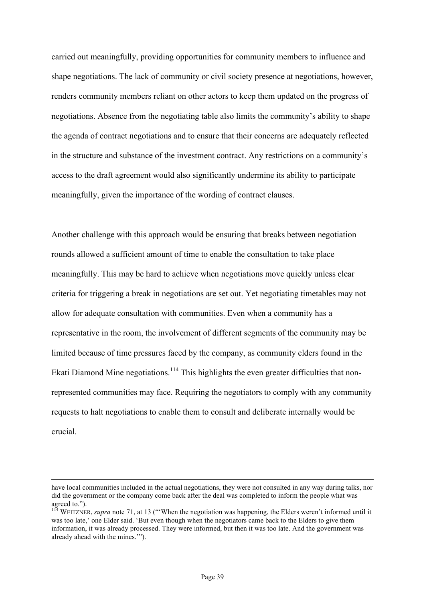carried out meaningfully, providing opportunities for community members to influence and shape negotiations. The lack of community or civil society presence at negotiations, however, renders community members reliant on other actors to keep them updated on the progress of negotiations. Absence from the negotiating table also limits the community's ability to shape the agenda of contract negotiations and to ensure that their concerns are adequately reflected in the structure and substance of the investment contract. Any restrictions on a community's access to the draft agreement would also significantly undermine its ability to participate meaningfully, given the importance of the wording of contract clauses.

Another challenge with this approach would be ensuring that breaks between negotiation rounds allowed a sufficient amount of time to enable the consultation to take place meaningfully. This may be hard to achieve when negotiations move quickly unless clear criteria for triggering a break in negotiations are set out. Yet negotiating timetables may not allow for adequate consultation with communities. Even when a community has a representative in the room, the involvement of different segments of the community may be limited because of time pressures faced by the company, as community elders found in the Ekati Diamond Mine negotiations.<sup>114</sup> This highlights the even greater difficulties that nonrepresented communities may face. Requiring the negotiators to comply with any community requests to halt negotiations to enable them to consult and deliberate internally would be crucial.

have local communities included in the actual negotiations, they were not consulted in any way during talks, nor did the government or the company come back after the deal was completed to inform the people what was agreed to.").

<sup>&</sup>lt;sup>114</sup> WEITZNER, *supra* note 71, at 13 ("When the negotiation was happening, the Elders weren't informed until it was too late,' one Elder said. 'But even though when the negotiators came back to the Elders to give them information, it was already processed. They were informed, but then it was too late. And the government was already ahead with the mines.'").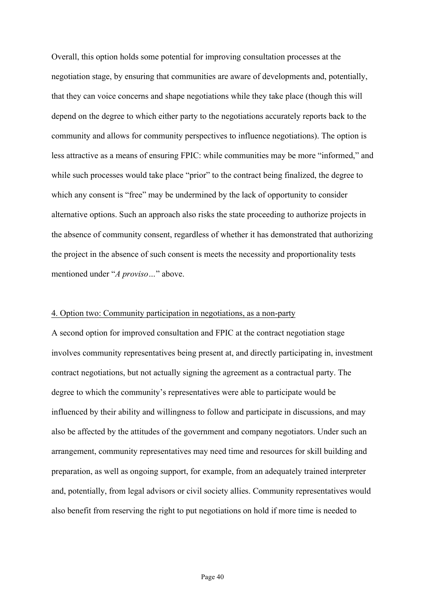Overall, this option holds some potential for improving consultation processes at the negotiation stage, by ensuring that communities are aware of developments and, potentially, that they can voice concerns and shape negotiations while they take place (though this will depend on the degree to which either party to the negotiations accurately reports back to the community and allows for community perspectives to influence negotiations). The option is less attractive as a means of ensuring FPIC: while communities may be more "informed," and while such processes would take place "prior" to the contract being finalized, the degree to which any consent is "free" may be undermined by the lack of opportunity to consider alternative options. Such an approach also risks the state proceeding to authorize projects in the absence of community consent, regardless of whether it has demonstrated that authorizing the project in the absence of such consent is meets the necessity and proportionality tests mentioned under "*A proviso…*" above.

#### 4. Option two: Community participation in negotiations, as a non-party

A second option for improved consultation and FPIC at the contract negotiation stage involves community representatives being present at, and directly participating in, investment contract negotiations, but not actually signing the agreement as a contractual party. The degree to which the community's representatives were able to participate would be influenced by their ability and willingness to follow and participate in discussions, and may also be affected by the attitudes of the government and company negotiators. Under such an arrangement, community representatives may need time and resources for skill building and preparation, as well as ongoing support, for example, from an adequately trained interpreter and, potentially, from legal advisors or civil society allies. Community representatives would also benefit from reserving the right to put negotiations on hold if more time is needed to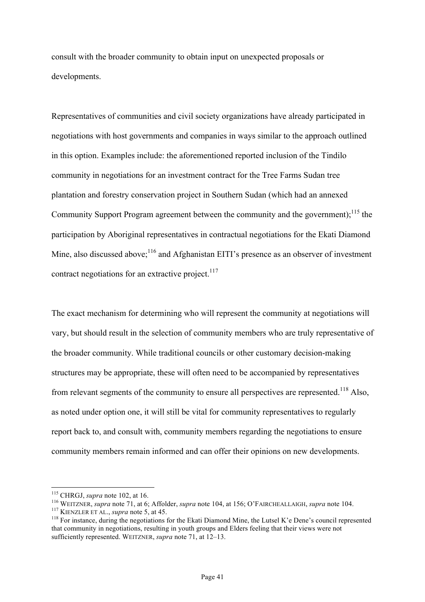consult with the broader community to obtain input on unexpected proposals or developments.

Representatives of communities and civil society organizations have already participated in negotiations with host governments and companies in ways similar to the approach outlined in this option. Examples include: the aforementioned reported inclusion of the Tindilo community in negotiations for an investment contract for the Tree Farms Sudan tree plantation and forestry conservation project in Southern Sudan (which had an annexed Community Support Program agreement between the community and the government);<sup>115</sup> the participation by Aboriginal representatives in contractual negotiations for the Ekati Diamond Mine, also discussed above; $116$  and Afghanistan EITI's presence as an observer of investment contract negotiations for an extractive project. $117$ 

The exact mechanism for determining who will represent the community at negotiations will vary, but should result in the selection of community members who are truly representative of the broader community. While traditional councils or other customary decision-making structures may be appropriate, these will often need to be accompanied by representatives from relevant segments of the community to ensure all perspectives are represented.<sup>118</sup> Also, as noted under option one, it will still be vital for community representatives to regularly report back to, and consult with, community members regarding the negotiations to ensure community members remain informed and can offer their opinions on new developments.

<sup>&</sup>lt;sup>115</sup> CHRGJ, *supra* note 102, at 16.<br><sup>116</sup> WEITZNER, *supra* note 71, at 6; Affolder, *supra* note 104, at 156; O'FAIRCHEALLAIGH, *supra* note 104.<br><sup>117</sup> KIENZLER ET AL., *supra* note 5, at 45.<br><sup>118</sup> For instance, during that community in negotiations, resulting in youth groups and Elders feeling that their views were not sufficiently represented. WEITZNER, *supra* note 71, at 12–13.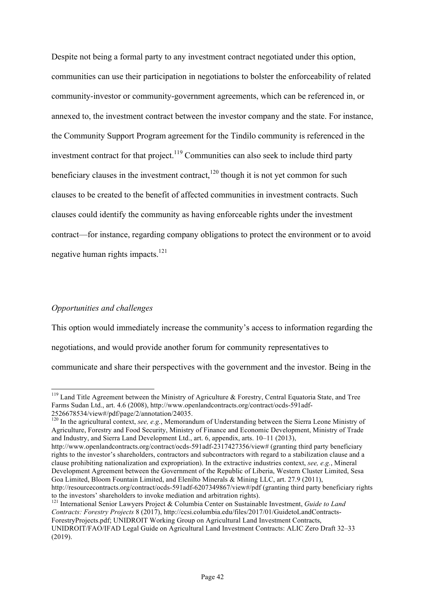Despite not being a formal party to any investment contract negotiated under this option, communities can use their participation in negotiations to bolster the enforceability of related community-investor or community-government agreements, which can be referenced in, or annexed to, the investment contract between the investor company and the state. For instance, the Community Support Program agreement for the Tindilo community is referenced in the investment contract for that project. $119$  Communities can also seek to include third party beneficiary clauses in the investment contract, $120$  though it is not yet common for such clauses to be created to the benefit of affected communities in investment contracts. Such clauses could identify the community as having enforceable rights under the investment contract—for instance, regarding company obligations to protect the environment or to avoid negative human rights impacts.<sup>121</sup>

# *Opportunities and challenges*

This option would immediately increase the community's access to information regarding the negotiations, and would provide another forum for community representatives to communicate and share their perspectives with the government and the investor. Being in the

<sup>120</sup> In the agricultural context, *see, e.g.*, Memorandum of Understanding between the Sierra Leone Ministry of Agriculture, Forestry and Food Security, Ministry of Finance and Economic Development, Ministry of Trade and Industry, and Sierra Land Development Ltd., art. 6, appendix, arts. 10–11 (2013),

http://www.openlandcontracts.org/contract/ocds-591adf-2317427356/view# (granting third party beneficiary rights to the investor's shareholders, contractors and subcontractors with regard to a stabilization clause and a clause prohibiting nationalization and expropriation). In the extractive industries context, *see, e.g.*, Mineral Development Agreement between the Government of the Republic of Liberia, Western Cluster Limited, Sesa Goa Limited, Bloom Fountain Limited, and Elenilto Minerals & Mining LLC, art. 27.9 (2011),

<sup>121</sup> International Senior Lawyers Project & Columbia Center on Sustainable Investment, *Guide to Land Contracts: Forestry Projects* 8 (2017), http://ccsi.columbia.edu/files/2017/01/GuidetoLandContracts-ForestryProjects.pdf; UNIDROIT Working Group on Agricultural Land Investment Contracts, UNIDROIT/FAO/IFAD Legal Guide on Agricultural Land Investment Contracts: ALIC Zero Draft 32–33 (2019).

<sup>&</sup>lt;sup>119</sup> Land Title Agreement between the Ministry of Agriculture & Forestry, Central Equatoria State, and Tree Farms Sudan Ltd., art. 4.6 (2008), http://www.openlandcontracts.org/contract/ocds-591adf-2526678534/view#/pdf/page/2/annotation/24035.

http://resourcecontracts.org/contract/ocds-591adf-6207349867/view#/pdf (granting third party beneficiary rights to the investors' shareholders to invoke mediation and arbitration rights).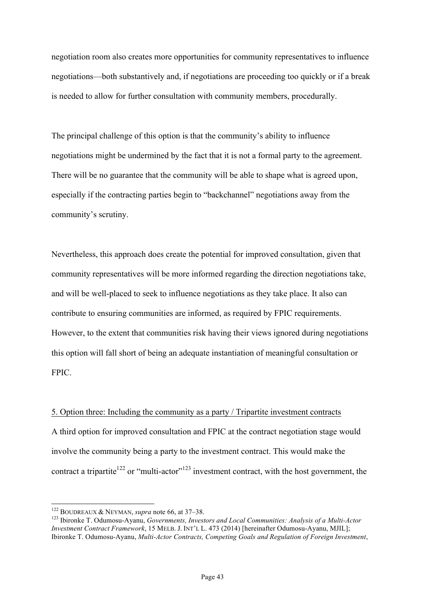negotiation room also creates more opportunities for community representatives to influence negotiations—both substantively and, if negotiations are proceeding too quickly or if a break is needed to allow for further consultation with community members, procedurally.

The principal challenge of this option is that the community's ability to influence negotiations might be undermined by the fact that it is not a formal party to the agreement. There will be no guarantee that the community will be able to shape what is agreed upon, especially if the contracting parties begin to "backchannel" negotiations away from the community's scrutiny.

Nevertheless, this approach does create the potential for improved consultation, given that community representatives will be more informed regarding the direction negotiations take, and will be well-placed to seek to influence negotiations as they take place. It also can contribute to ensuring communities are informed, as required by FPIC requirements. However, to the extent that communities risk having their views ignored during negotiations this option will fall short of being an adequate instantiation of meaningful consultation or FPIC.

5. Option three: Including the community as a party / Tripartite investment contracts A third option for improved consultation and FPIC at the contract negotiation stage would involve the community being a party to the investment contract. This would make the contract a tripartite<sup>122</sup> or "multi-actor"<sup>123</sup> investment contract, with the host government, the

<sup>&</sup>lt;sup>122</sup> BOUDREAUX & NEYMAN, *supra* note 66, at 37–38.<br><sup>123</sup> Ibironke T. Odumosu-Ayanu, *Governments, Investors and Local Communities: Analysis of a Multi-Actor Investment Contract Framework*, 15 MELB. J. INT'L L. 473 (2014) [hereinafter Odumosu-Ayanu, MJIL]; Ibironke T. Odumosu-Ayanu, *Multi-Actor Contracts, Competing Goals and Regulation of Foreign Investment*,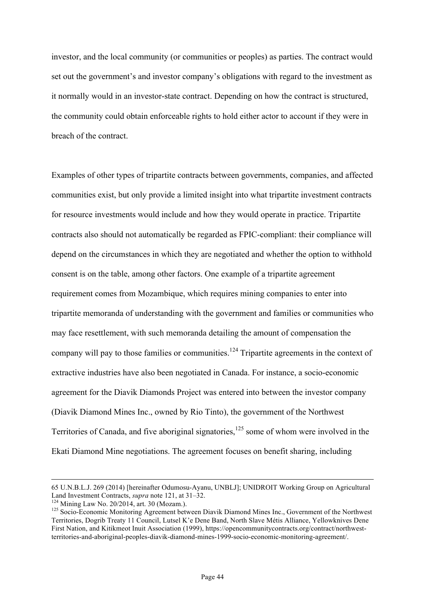investor, and the local community (or communities or peoples) as parties. The contract would set out the government's and investor company's obligations with regard to the investment as it normally would in an investor-state contract. Depending on how the contract is structured, the community could obtain enforceable rights to hold either actor to account if they were in breach of the contract.

Examples of other types of tripartite contracts between governments, companies, and affected communities exist, but only provide a limited insight into what tripartite investment contracts for resource investments would include and how they would operate in practice. Tripartite contracts also should not automatically be regarded as FPIC-compliant: their compliance will depend on the circumstances in which they are negotiated and whether the option to withhold consent is on the table, among other factors. One example of a tripartite agreement requirement comes from Mozambique, which requires mining companies to enter into tripartite memoranda of understanding with the government and families or communities who may face resettlement, with such memoranda detailing the amount of compensation the company will pay to those families or communities.<sup>124</sup> Tripartite agreements in the context of extractive industries have also been negotiated in Canada. For instance, a socio-economic agreement for the Diavik Diamonds Project was entered into between the investor company (Diavik Diamond Mines Inc., owned by Rio Tinto), the government of the Northwest Territories of Canada, and five aboriginal signatories, $125$  some of whom were involved in the Ekati Diamond Mine negotiations. The agreement focuses on benefit sharing, including

 <sup>65</sup> U.N.B.L.J. 269 (2014) [hereinafter Odumosu-Ayanu, UNBLJ]; UNIDROIT Working Group on Agricultural Land Investment Contracts, *supra* note 121, at 31–32.<br><sup>124</sup> Mining Law No. 20/2014, art. 30 (Mozam.).<br><sup>125</sup> Socio-Economic Monitoring Agreement between Diavik Diamond Mines Inc., Government of the Northwest

Territories, Dogrib Treaty 11 Council, Lutsel K'e Dene Band, North Slave Métis Alliance, Yellowknives Dene First Nation, and Kitikmeot Inuit Association (1999), https://opencommunitycontracts.org/contract/northwestterritories-and-aboriginal-peoples-diavik-diamond-mines-1999-socio-economic-monitoring-agreement/.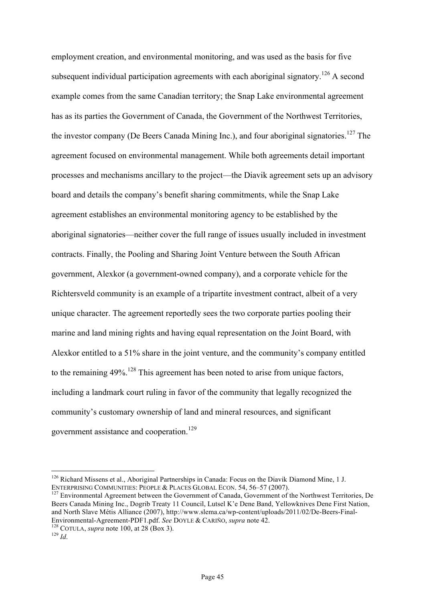employment creation, and environmental monitoring, and was used as the basis for five subsequent individual participation agreements with each aboriginal signatory.<sup>126</sup> A second example comes from the same Canadian territory; the Snap Lake environmental agreement has as its parties the Government of Canada, the Government of the Northwest Territories, the investor company (De Beers Canada Mining Inc.), and four aboriginal signatories.<sup>127</sup> The agreement focused on environmental management. While both agreements detail important processes and mechanisms ancillary to the project—the Diavik agreement sets up an advisory board and details the company's benefit sharing commitments, while the Snap Lake agreement establishes an environmental monitoring agency to be established by the aboriginal signatories—neither cover the full range of issues usually included in investment contracts. Finally, the Pooling and Sharing Joint Venture between the South African government, Alexkor (a government-owned company), and a corporate vehicle for the Richtersveld community is an example of a tripartite investment contract, albeit of a very unique character. The agreement reportedly sees the two corporate parties pooling their marine and land mining rights and having equal representation on the Joint Board, with Alexkor entitled to a 51% share in the joint venture, and the community's company entitled to the remaining  $49\%$ <sup>128</sup>. This agreement has been noted to arise from unique factors, including a landmark court ruling in favor of the community that legally recognized the community's customary ownership of land and mineral resources, and significant government assistance and cooperation.<sup>129</sup>

<sup>127</sup> Environmental Agreement between the Government of Canada, Government of the Northwest Territories, De Beers Canada Mining Inc., Dogrib Treaty 11 Council, Lutsel K'e Dene Band, Yellowknives Dene First Nation, and North Slave Métis Alliance (2007), http://www.slema.ca/wp-content/uploads/2011/02/De-Beers-Final-Environmental-Agreement-PDF1.pdf. *See* DOYLE & CARIÑO, *supra* note 42.<br><sup>128</sup> COTULA, *supra* note 100, at 28 (Box 3).<br><sup>129</sup> *Id* 

<sup>&</sup>lt;sup>126</sup> Richard Missens et al., Aboriginal Partnerships in Canada: Focus on the Diavik Diamond Mine, 1 J. ENTERPRISING COMMUNITIES: PEOPLE & PLACES GLOBAL ECON. 54, 56–57 (2007).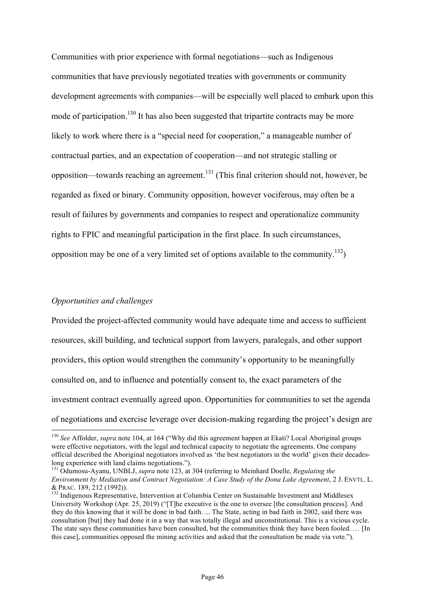Communities with prior experience with formal negotiations—such as Indigenous communities that have previously negotiated treaties with governments or community development agreements with companies—will be especially well placed to embark upon this mode of participation.<sup>130</sup> It has also been suggested that tripartite contracts may be more likely to work where there is a "special need for cooperation," a manageable number of contractual parties, and an expectation of cooperation—and not strategic stalling or opposition—towards reaching an agreement.<sup>131</sup> (This final criterion should not, however, be regarded as fixed or binary. Community opposition, however vociferous, may often be a result of failures by governments and companies to respect and operationalize community rights to FPIC and meaningful participation in the first place. In such circumstances, opposition may be one of a very limited set of options available to the community.<sup>132</sup>)

#### *Opportunities and challenges*

Provided the project-affected community would have adequate time and access to sufficient resources, skill building, and technical support from lawyers, paralegals, and other support providers, this option would strengthen the community's opportunity to be meaningfully consulted on, and to influence and potentially consent to, the exact parameters of the investment contract eventually agreed upon. Opportunities for communities to set the agenda of negotiations and exercise leverage over decision-making regarding the project's design are

<sup>&</sup>lt;sup>130</sup> *See* Affolder, *supra* note 104, at 164 ("Why did this agreement happen at Ekati? Local Aboriginal groups were effective negotiators, with the legal and technical capacity to negotiate the agreements. One company official described the Aboriginal negotiators involved as 'the best negotiators in the world' given their decades-

long experience with land claims negotiations."). <sup>131</sup> Odumosu-Ayanu, UNBLJ, *supra* note 123, at 304 (referring to Meinhard Doelle, *Regulating the Environment by Mediation and Contract Negotiation: A Case Study of the Dona Lake Agreement*, 2 J. ENVTL. L. & PRAC. 189, 212 (1992)).<br><sup>132</sup> Indigenous Representative, Intervention at Columbia Center on Sustainable Investment and Middlesex

University Workshop (Apr. 25, 2019) ("[T]he executive is the one to oversee [the consultation process]. And they do this knowing that it will be done in bad faith. ... The State, acting in bad faith in 2002, said there was consultation [but] they had done it in a way that was totally illegal and unconstitutional. This is a vicious cycle. The state says these communities have been consulted, but the communities think they have been fooled. … [In this case], communities opposed the mining activities and asked that the consultation be made via vote.").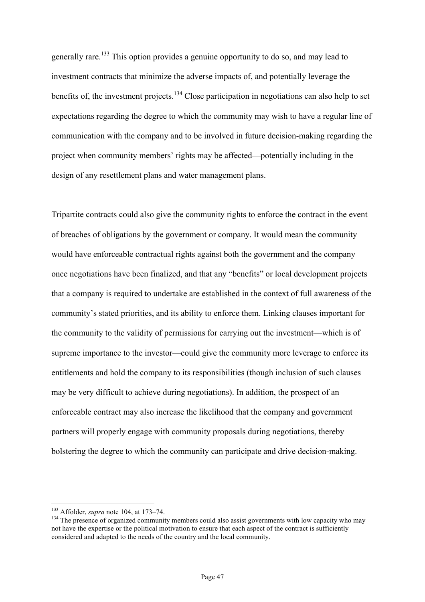generally rare.<sup>133</sup> This option provides a genuine opportunity to do so, and may lead to investment contracts that minimize the adverse impacts of, and potentially leverage the benefits of, the investment projects.<sup>134</sup> Close participation in negotiations can also help to set expectations regarding the degree to which the community may wish to have a regular line of communication with the company and to be involved in future decision-making regarding the project when community members' rights may be affected—potentially including in the design of any resettlement plans and water management plans.

Tripartite contracts could also give the community rights to enforce the contract in the event of breaches of obligations by the government or company. It would mean the community would have enforceable contractual rights against both the government and the company once negotiations have been finalized, and that any "benefits" or local development projects that a company is required to undertake are established in the context of full awareness of the community's stated priorities, and its ability to enforce them. Linking clauses important for the community to the validity of permissions for carrying out the investment—which is of supreme importance to the investor—could give the community more leverage to enforce its entitlements and hold the company to its responsibilities (though inclusion of such clauses may be very difficult to achieve during negotiations). In addition, the prospect of an enforceable contract may also increase the likelihood that the company and government partners will properly engage with community proposals during negotiations, thereby bolstering the degree to which the community can participate and drive decision-making.

<sup>&</sup>lt;sup>133</sup> Affolder, *supra* note 104, at 173–74.<br><sup>134</sup> The presence of organized community members could also assist governments with low capacity who may not have the expertise or the political motivation to ensure that each aspect of the contract is sufficiently considered and adapted to the needs of the country and the local community.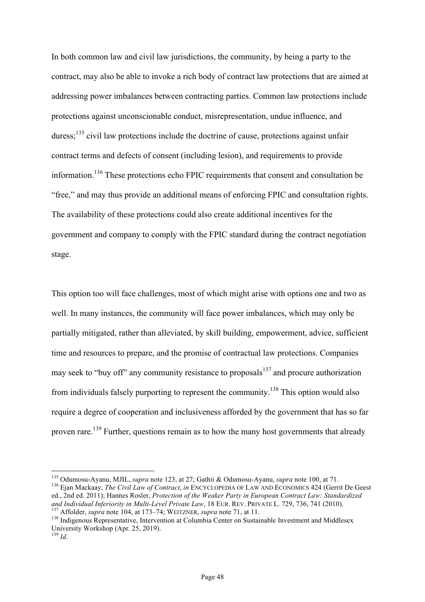In both common law and civil law jurisdictions, the community, by being a party to the contract, may also be able to invoke a rich body of contract law protections that are aimed at addressing power imbalances between contracting parties. Common law protections include protections against unconscionable conduct, misrepresentation, undue influence, and duress;<sup>135</sup> civil law protections include the doctrine of cause, protections against unfair contract terms and defects of consent (including lesion), and requirements to provide information.<sup>136</sup> These protections echo FPIC requirements that consent and consultation be "free," and may thus provide an additional means of enforcing FPIC and consultation rights. The availability of these protections could also create additional incentives for the government and company to comply with the FPIC standard during the contract negotiation stage.

This option too will face challenges, most of which might arise with options one and two as well. In many instances, the community will face power imbalances, which may only be partially mitigated, rather than alleviated, by skill building, empowerment, advice, sufficient time and resources to prepare, and the promise of contractual law protections. Companies may seek to "buy off" any community resistance to proposals $137$  and procure authorization from individuals falsely purporting to represent the community.<sup>138</sup> This option would also require a degree of cooperation and inclusiveness afforded by the government that has so far proven rare.<sup>139</sup> Further, questions remain as to how the many host governments that already

<sup>&</sup>lt;sup>135</sup> Odumosu-Ayanu, MJIL, *supra* note 123, at 27; Gathii & Odumosu-Ayanu, *supra* note 100, at 71.<br><sup>136</sup> Ejan Mackaay, *The Civil Law of Contract*, *in* ENCYCLOPEDIA OF LAW AND ECONOMICS 424 (Gerrit De Geest

ed., 2nd ed. 2011); Hannes Rosler, *Protection of the Weaker Party in European Contract Law: Standardized* 

<sup>&</sup>lt;sup>137</sup> Affolder, *supra* note 104, at 173–74; WEITZNER, *supra* note 71, at 11.<br><sup>138</sup> Indigenous Representative, Intervention at Columbia Center on Sustainable Investment and Middlesex University Workshop (Apr. 25, 2019).

 $^{139}$  *Id.*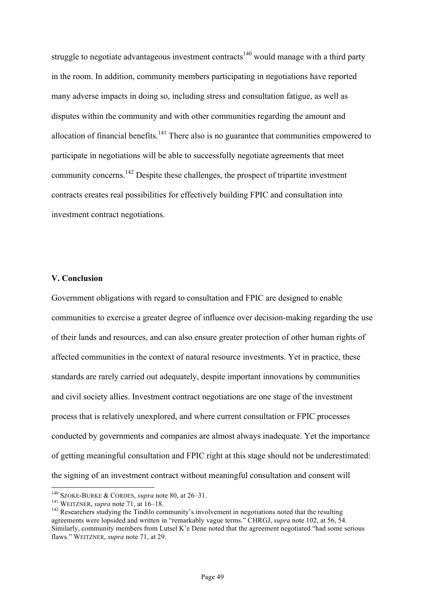struggle to negotiate advantageous investment contracts<sup>140</sup> would manage with a third party in the room. In addition, community members participating in negotiations have reported many adverse impacts in doing so, including stress and consultation fatigue, as well as disputes within the community and with other communities regarding the amount and allocation of financial benefits.<sup>141</sup> There also is no guarantee that communities empowered to participate in negotiations will be able to successfully negotiate agreements that meet community concerns.142 Despite these challenges, the prospect of tripartite investment contracts creates real possibilities for effectively building FPIC and consultation into investment contract negotiations.

# **V. Conclusion**

Government obligations with regard to consultation and FPIC are designed to enable communities to exercise a greater degree of influence over decision-making regarding the use of their lands and resources, and can also ensure greater protection of other human rights of affected communities in the context of natural resource investments. Yet in practice, these standards are rarely carried out adequately, despite important innovations by communities and civil society allies. Investment contract negotiations are one stage of the investment process that is relatively unexplored, and where current consultation or FPIC processes conducted by governments and companies are almost always inadequate. Yet the importance of getting meaningful consultation and FPIC right at this stage should not be underestimated: the signing of an investment contract without meaningful consultation and consent will

<sup>&</sup>lt;sup>140</sup> SZOKE-BURKE & CORDES, *supra* note 80, at 26–31.<br><sup>141</sup> WEITZNER, *supra* note 71, at 16–18.<br><sup>142</sup> Researchers studying the Tindilo community's involvement in negotiations noted that the resulting agreements were lopsided and written in "remarkably vague terms." CHRGJ, *supra* note 102, at 56, 54. Similarly, community members from Lutsel K'e Dene noted that the agreement negotiated "had some serious flaws." WEITZNER, *supra* note 71, at 29.